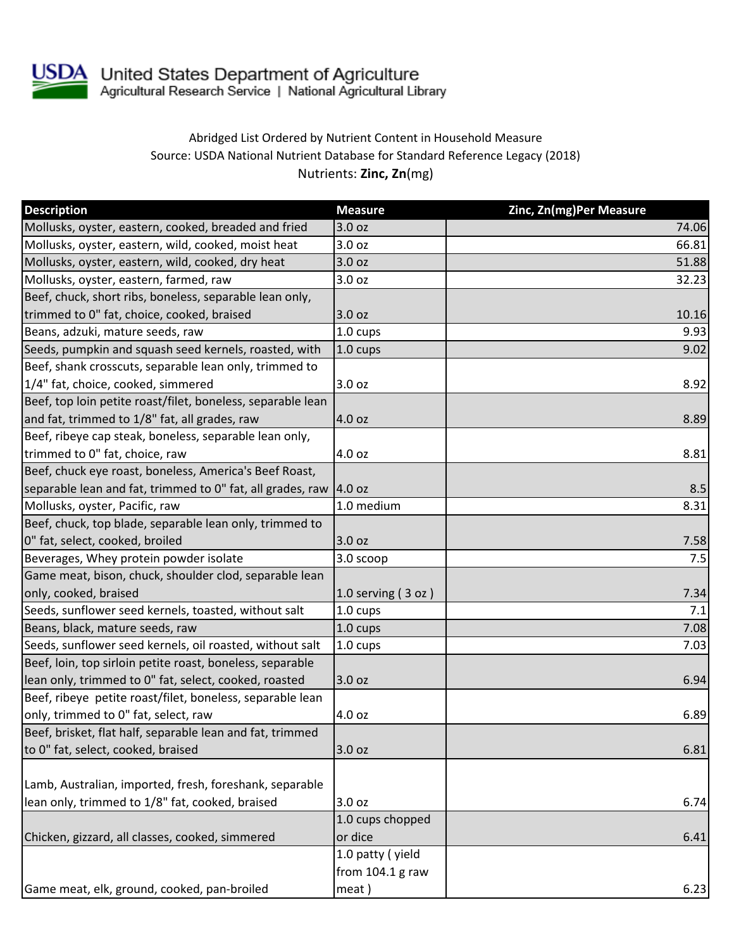

USDA United States Department of Agriculture<br>Agricultural Research Service | National Agricultural Library

## Abridged List Ordered by Nutrient Content in Household Measure Source: USDA National Nutrient Database for Standard Reference Legacy (2018) Nutrients: **Zinc, Zn**(mg)

| <b>Description</b>                                                  | <b>Measure</b>     | Zinc, Zn(mg)Per Measure |
|---------------------------------------------------------------------|--------------------|-------------------------|
| Mollusks, oyster, eastern, cooked, breaded and fried                | 3.0 oz             | 74.06                   |
| Mollusks, oyster, eastern, wild, cooked, moist heat                 | 3.0 <sub>oz</sub>  | 66.81                   |
| Mollusks, oyster, eastern, wild, cooked, dry heat                   | 3.0 oz             | 51.88                   |
| Mollusks, oyster, eastern, farmed, raw                              | 3.0 oz             | 32.23                   |
| Beef, chuck, short ribs, boneless, separable lean only,             |                    |                         |
| trimmed to 0" fat, choice, cooked, braised                          | 3.0 oz             | 10.16                   |
| Beans, adzuki, mature seeds, raw                                    | 1.0 cups           | 9.93                    |
| Seeds, pumpkin and squash seed kernels, roasted, with               | 1.0 cups           | 9.02                    |
| Beef, shank crosscuts, separable lean only, trimmed to              |                    |                         |
| 1/4" fat, choice, cooked, simmered                                  | 3.0 oz             | 8.92                    |
| Beef, top loin petite roast/filet, boneless, separable lean         |                    |                         |
| and fat, trimmed to 1/8" fat, all grades, raw                       | 4.0 oz             | 8.89                    |
| Beef, ribeye cap steak, boneless, separable lean only,              |                    |                         |
| trimmed to 0" fat, choice, raw                                      | 4.0 oz             | 8.81                    |
| Beef, chuck eye roast, boneless, America's Beef Roast,              |                    |                         |
| separable lean and fat, trimmed to 0" fat, all grades, raw   4.0 oz |                    | 8.5                     |
| Mollusks, oyster, Pacific, raw                                      | 1.0 medium         | 8.31                    |
| Beef, chuck, top blade, separable lean only, trimmed to             |                    |                         |
| 0" fat, select, cooked, broiled                                     | 3.0 oz             | 7.58                    |
| Beverages, Whey protein powder isolate                              | 3.0 scoop          | 7.5                     |
| Game meat, bison, chuck, shoulder clod, separable lean              |                    |                         |
| only, cooked, braised                                               | 1.0 serving (3 oz) | 7.34                    |
| Seeds, sunflower seed kernels, toasted, without salt                | 1.0 cups           | 7.1                     |
| Beans, black, mature seeds, raw                                     | 1.0 cups           | 7.08                    |
| Seeds, sunflower seed kernels, oil roasted, without salt            | 1.0 cups           | 7.03                    |
| Beef, loin, top sirloin petite roast, boneless, separable           |                    |                         |
| lean only, trimmed to 0" fat, select, cooked, roasted               | 3.0 oz             | 6.94                    |
| Beef, ribeye petite roast/filet, boneless, separable lean           |                    |                         |
| only, trimmed to 0" fat, select, raw                                | 4.0 oz             | 6.89                    |
| Beef, brisket, flat half, separable lean and fat, trimmed           |                    |                         |
| to 0" fat, select, cooked, braised                                  | 3.0 oz             | 6.81                    |
|                                                                     |                    |                         |
| Lamb, Australian, imported, fresh, foreshank, separable             |                    |                         |
| lean only, trimmed to 1/8" fat, cooked, braised                     | 3.0 oz             | 6.74                    |
|                                                                     | 1.0 cups chopped   |                         |
| Chicken, gizzard, all classes, cooked, simmered                     | or dice            | 6.41                    |
|                                                                     | 1.0 patty (yield   |                         |
|                                                                     | from 104.1 g raw   |                         |
| Game meat, elk, ground, cooked, pan-broiled                         | meat)              | 6.23                    |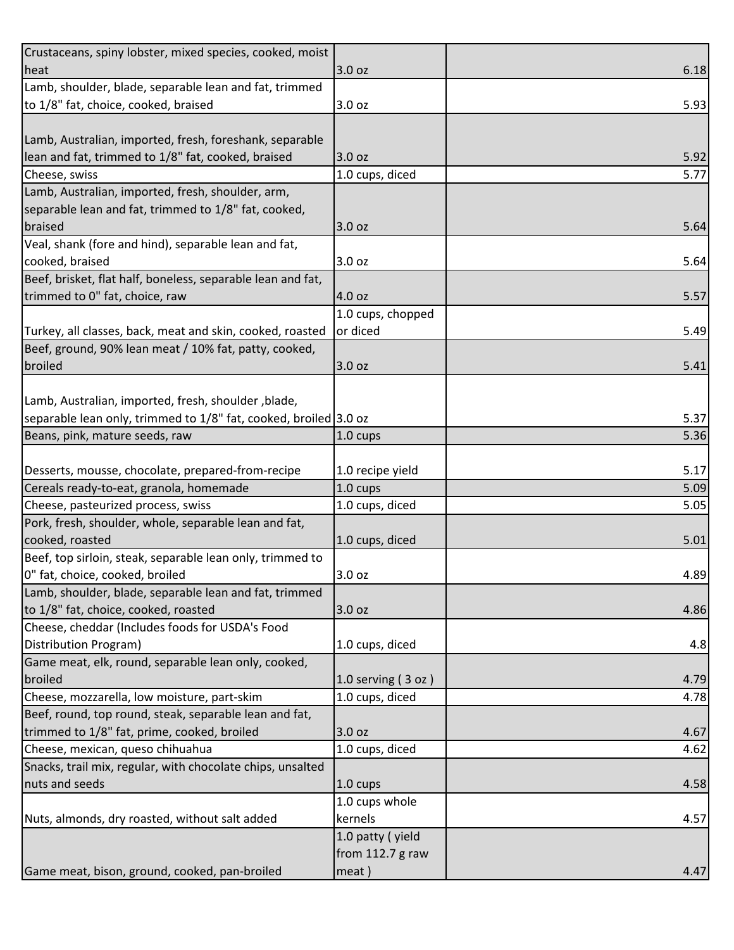| Crustaceans, spiny lobster, mixed species, cooked, moist         |                        |      |
|------------------------------------------------------------------|------------------------|------|
| heat                                                             | 3.0 oz                 | 6.18 |
| Lamb, shoulder, blade, separable lean and fat, trimmed           |                        |      |
| to 1/8" fat, choice, cooked, braised                             | 3.0 oz                 | 5.93 |
|                                                                  |                        |      |
| Lamb, Australian, imported, fresh, foreshank, separable          |                        |      |
| lean and fat, trimmed to 1/8" fat, cooked, braised               | 3.0 oz                 | 5.92 |
| Cheese, swiss                                                    | 1.0 cups, diced        | 5.77 |
| Lamb, Australian, imported, fresh, shoulder, arm,                |                        |      |
| separable lean and fat, trimmed to 1/8" fat, cooked,             |                        |      |
| braised                                                          | 3.0 oz                 | 5.64 |
| Veal, shank (fore and hind), separable lean and fat,             |                        |      |
| cooked, braised                                                  | 3.0 oz                 | 5.64 |
| Beef, brisket, flat half, boneless, separable lean and fat,      |                        |      |
| trimmed to 0" fat, choice, raw                                   | 4.0 oz                 | 5.57 |
|                                                                  | 1.0 cups, chopped      |      |
| Turkey, all classes, back, meat and skin, cooked, roasted        | or diced               | 5.49 |
| Beef, ground, 90% lean meat / 10% fat, patty, cooked,            |                        |      |
| broiled                                                          | 3.0 oz                 | 5.41 |
|                                                                  |                        |      |
| Lamb, Australian, imported, fresh, shoulder, blade,              |                        |      |
| separable lean only, trimmed to 1/8" fat, cooked, broiled 3.0 oz |                        | 5.37 |
| Beans, pink, mature seeds, raw                                   | 1.0 cups               | 5.36 |
|                                                                  |                        |      |
| Desserts, mousse, chocolate, prepared-from-recipe                | 1.0 recipe yield       | 5.17 |
| Cereals ready-to-eat, granola, homemade                          | 1.0 cups               | 5.09 |
| Cheese, pasteurized process, swiss                               | 1.0 cups, diced        | 5.05 |
| Pork, fresh, shoulder, whole, separable lean and fat,            |                        |      |
| cooked, roasted                                                  | 1.0 cups, diced        | 5.01 |
| Beef, top sirloin, steak, separable lean only, trimmed to        |                        |      |
| 0" fat, choice, cooked, broiled                                  | 3.0 oz                 | 4.89 |
| Lamb, shoulder, blade, separable lean and fat, trimmed           |                        |      |
| to 1/8" fat, choice, cooked, roasted                             | 3.0 oz                 | 4.86 |
| Cheese, cheddar (Includes foods for USDA's Food                  |                        |      |
| Distribution Program)                                            | 1.0 cups, diced        | 4.8  |
| Game meat, elk, round, separable lean only, cooked,              |                        |      |
| broiled                                                          | $1.0$ serving $(3$ oz) | 4.79 |
| Cheese, mozzarella, low moisture, part-skim                      | 1.0 cups, diced        | 4.78 |
| Beef, round, top round, steak, separable lean and fat,           |                        |      |
| trimmed to 1/8" fat, prime, cooked, broiled                      | 3.0 oz                 | 4.67 |
| Cheese, mexican, queso chihuahua                                 | 1.0 cups, diced        | 4.62 |
| Snacks, trail mix, regular, with chocolate chips, unsalted       |                        |      |
| nuts and seeds                                                   | $1.0 \text{ cups}$     | 4.58 |
|                                                                  | 1.0 cups whole         |      |
| Nuts, almonds, dry roasted, without salt added                   | kernels                | 4.57 |
|                                                                  | 1.0 patty (yield       |      |
|                                                                  | from 112.7 g raw       |      |
| Game meat, bison, ground, cooked, pan-broiled                    | meat)                  | 4.47 |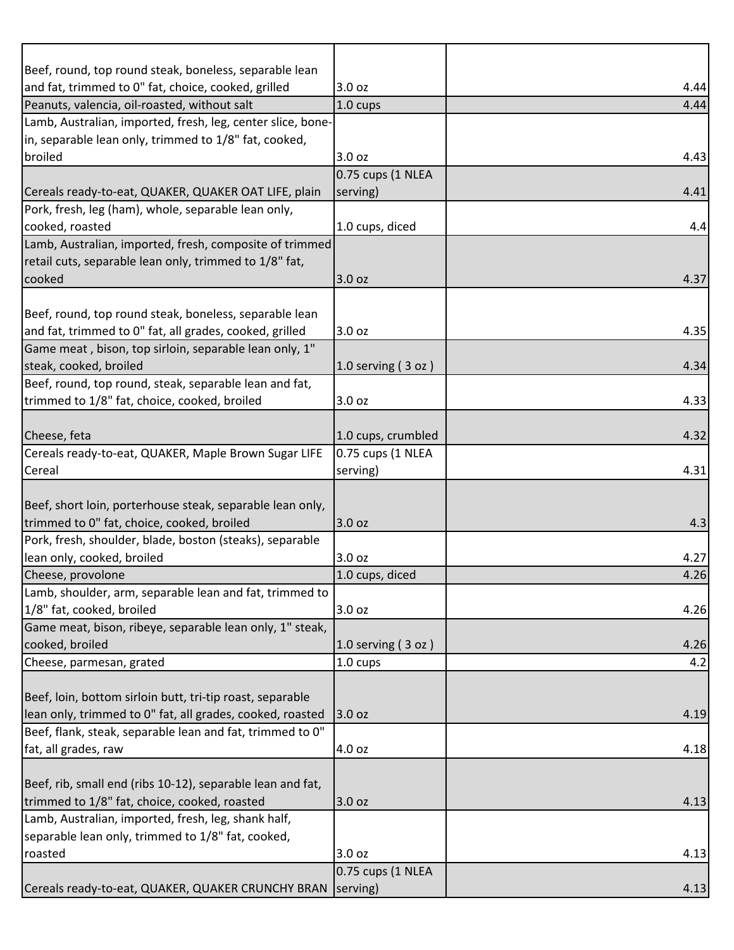| Beef, round, top round steak, boneless, separable lean      |                    |      |
|-------------------------------------------------------------|--------------------|------|
| and fat, trimmed to 0" fat, choice, cooked, grilled         | 3.0 oz             | 4.44 |
| Peanuts, valencia, oil-roasted, without salt                | 1.0 cups           | 4.44 |
| Lamb, Australian, imported, fresh, leg, center slice, bone- |                    |      |
| in, separable lean only, trimmed to 1/8" fat, cooked,       |                    |      |
| broiled                                                     | 3.0 oz             | 4.43 |
|                                                             | 0.75 cups (1 NLEA  |      |
| Cereals ready-to-eat, QUAKER, QUAKER OAT LIFE, plain        | serving)           | 4.41 |
| Pork, fresh, leg (ham), whole, separable lean only,         |                    |      |
| cooked, roasted                                             | 1.0 cups, diced    | 4.4  |
| Lamb, Australian, imported, fresh, composite of trimmed     |                    |      |
| retail cuts, separable lean only, trimmed to 1/8" fat,      |                    |      |
| cooked                                                      | 3.0 oz             | 4.37 |
|                                                             |                    |      |
| Beef, round, top round steak, boneless, separable lean      |                    |      |
| and fat, trimmed to 0" fat, all grades, cooked, grilled     | 3.0 oz             | 4.35 |
| Game meat, bison, top sirloin, separable lean only, 1"      |                    |      |
| steak, cooked, broiled                                      | 1.0 serving (3 oz) | 4.34 |
| Beef, round, top round, steak, separable lean and fat,      |                    |      |
| trimmed to 1/8" fat, choice, cooked, broiled                | 3.0 oz             | 4.33 |
|                                                             |                    |      |
| Cheese, feta                                                | 1.0 cups, crumbled | 4.32 |
| Cereals ready-to-eat, QUAKER, Maple Brown Sugar LIFE        | 0.75 cups (1 NLEA  |      |
| Cereal                                                      | serving)           | 4.31 |
|                                                             |                    |      |
| Beef, short loin, porterhouse steak, separable lean only,   |                    |      |
| trimmed to 0" fat, choice, cooked, broiled                  | 3.0 oz             | 4.3  |
| Pork, fresh, shoulder, blade, boston (steaks), separable    |                    |      |
|                                                             | 3.0 oz             | 4.27 |
| lean only, cooked, broiled<br>Cheese, provolone             |                    |      |
|                                                             | 1.0 cups, diced    | 4.26 |
| Lamb, shoulder, arm, separable lean and fat, trimmed to     |                    |      |
| 1/8" fat, cooked, broiled                                   | 3.0 oz             | 4.26 |
| Game meat, bison, ribeye, separable lean only, 1" steak,    |                    |      |
| cooked, broiled                                             | 1.0 serving (3 oz) | 4.26 |
| Cheese, parmesan, grated                                    | 1.0 cups           | 4.2  |
|                                                             |                    |      |
| Beef, loin, bottom sirloin butt, tri-tip roast, separable   |                    |      |
| lean only, trimmed to 0" fat, all grades, cooked, roasted   | 3.0 oz             | 4.19 |
| Beef, flank, steak, separable lean and fat, trimmed to 0"   |                    |      |
| fat, all grades, raw                                        | 4.0 oz             | 4.18 |
|                                                             |                    |      |
| Beef, rib, small end (ribs 10-12), separable lean and fat,  |                    |      |
| trimmed to 1/8" fat, choice, cooked, roasted                | 3.0 oz             | 4.13 |
| Lamb, Australian, imported, fresh, leg, shank half,         |                    |      |
| separable lean only, trimmed to 1/8" fat, cooked,           |                    |      |
| roasted                                                     | 3.0 oz             | 4.13 |
|                                                             | 0.75 cups (1 NLEA  |      |
| Cereals ready-to-eat, QUAKER, QUAKER CRUNCHY BRAN           | serving)           | 4.13 |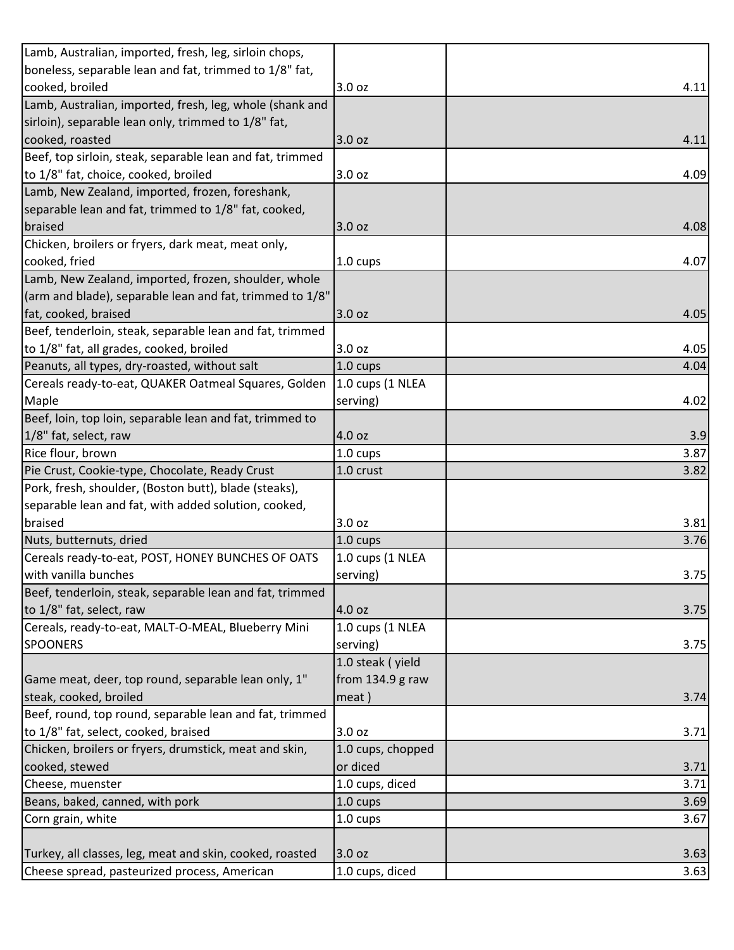| Lamb, Australian, imported, fresh, leg, sirloin chops,    |                    |      |
|-----------------------------------------------------------|--------------------|------|
| boneless, separable lean and fat, trimmed to 1/8" fat,    |                    |      |
| cooked, broiled                                           | 3.0 oz             | 4.11 |
| Lamb, Australian, imported, fresh, leg, whole (shank and  |                    |      |
| sirloin), separable lean only, trimmed to 1/8" fat,       |                    |      |
| cooked, roasted                                           | 3.0 oz             | 4.11 |
| Beef, top sirloin, steak, separable lean and fat, trimmed |                    |      |
| to 1/8" fat, choice, cooked, broiled                      | 3.0 oz             | 4.09 |
| Lamb, New Zealand, imported, frozen, foreshank,           |                    |      |
| separable lean and fat, trimmed to 1/8" fat, cooked,      |                    |      |
| braised                                                   | 3.0 oz             | 4.08 |
| Chicken, broilers or fryers, dark meat, meat only,        |                    |      |
| cooked, fried                                             | $1.0 \text{ cups}$ | 4.07 |
| Lamb, New Zealand, imported, frozen, shoulder, whole      |                    |      |
| (arm and blade), separable lean and fat, trimmed to 1/8"  |                    |      |
| fat, cooked, braised                                      | 3.0 oz             | 4.05 |
| Beef, tenderloin, steak, separable lean and fat, trimmed  |                    |      |
| to 1/8" fat, all grades, cooked, broiled                  | 3.0 oz             | 4.05 |
| Peanuts, all types, dry-roasted, without salt             | $1.0 \text{ cups}$ | 4.04 |
| Cereals ready-to-eat, QUAKER Oatmeal Squares, Golden      | 1.0 cups (1 NLEA   |      |
| Maple                                                     | serving)           | 4.02 |
| Beef, loin, top loin, separable lean and fat, trimmed to  |                    |      |
| 1/8" fat, select, raw                                     | 4.0 oz             | 3.9  |
| Rice flour, brown                                         | 1.0 cups           | 3.87 |
|                                                           |                    |      |
| Pie Crust, Cookie-type, Chocolate, Ready Crust            | 1.0 crust          | 3.82 |
| Pork, fresh, shoulder, (Boston butt), blade (steaks),     |                    |      |
| separable lean and fat, with added solution, cooked,      |                    |      |
| braised                                                   | 3.0 oz             | 3.81 |
| Nuts, butternuts, dried                                   | 1.0 cups           | 3.76 |
| Cereals ready-to-eat, POST, HONEY BUNCHES OF OATS         | 1.0 cups (1 NLEA   |      |
| with vanilla bunches                                      | serving)           | 3.75 |
| Beef, tenderloin, steak, separable lean and fat, trimmed  |                    |      |
| to 1/8" fat, select, raw                                  | 4.0 oz             | 3.75 |
| Cereals, ready-to-eat, MALT-O-MEAL, Blueberry Mini        | 1.0 cups (1 NLEA   |      |
| <b>SPOONERS</b>                                           | serving)           | 3.75 |
|                                                           | 1.0 steak (yield   |      |
| Game meat, deer, top round, separable lean only, 1"       | from 134.9 g raw   |      |
| steak, cooked, broiled                                    | meat)              | 3.74 |
| Beef, round, top round, separable lean and fat, trimmed   |                    |      |
| to 1/8" fat, select, cooked, braised                      | 3.0 oz             | 3.71 |
| Chicken, broilers or fryers, drumstick, meat and skin,    | 1.0 cups, chopped  |      |
| cooked, stewed                                            | or diced           | 3.71 |
| Cheese, muenster                                          | 1.0 cups, diced    | 3.71 |
| Beans, baked, canned, with pork                           | 1.0 cups           | 3.69 |
| Corn grain, white                                         | 1.0 cups           | 3.67 |
|                                                           |                    |      |
| Turkey, all classes, leg, meat and skin, cooked, roasted  | 3.0 oz             | 3.63 |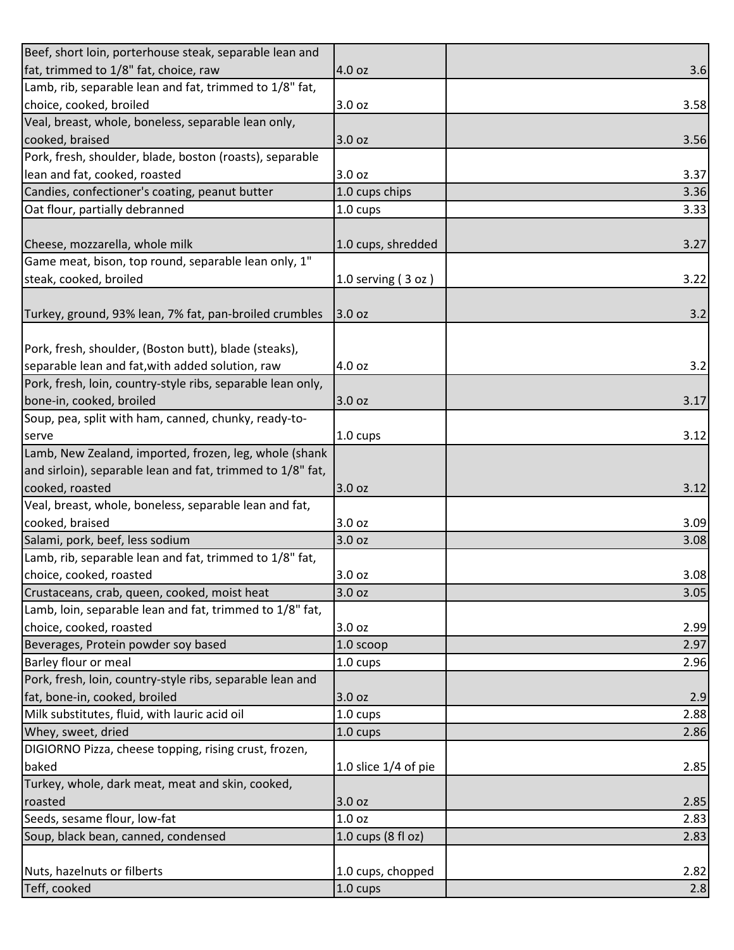| Beef, short loin, porterhouse steak, separable lean and     |                        |      |
|-------------------------------------------------------------|------------------------|------|
| fat, trimmed to 1/8" fat, choice, raw                       | 4.0 oz                 | 3.6  |
| Lamb, rib, separable lean and fat, trimmed to 1/8" fat,     |                        |      |
| choice, cooked, broiled                                     | 3.0 oz                 | 3.58 |
| Veal, breast, whole, boneless, separable lean only,         |                        |      |
| cooked, braised                                             | 3.0 oz                 | 3.56 |
| Pork, fresh, shoulder, blade, boston (roasts), separable    |                        |      |
| lean and fat, cooked, roasted                               | 3.0 oz                 | 3.37 |
| Candies, confectioner's coating, peanut butter              | 1.0 cups chips         | 3.36 |
| Oat flour, partially debranned                              | 1.0 cups               | 3.33 |
|                                                             |                        |      |
| Cheese, mozzarella, whole milk                              | 1.0 cups, shredded     | 3.27 |
| Game meat, bison, top round, separable lean only, 1"        |                        |      |
| steak, cooked, broiled                                      | 1.0 serving $(3 oz)$   | 3.22 |
|                                                             |                        |      |
| Turkey, ground, 93% lean, 7% fat, pan-broiled crumbles      | 3.0 oz                 | 3.2  |
|                                                             |                        |      |
| Pork, fresh, shoulder, (Boston butt), blade (steaks),       |                        |      |
| separable lean and fat, with added solution, raw            | 4.0 oz                 | 3.2  |
| Pork, fresh, loin, country-style ribs, separable lean only, |                        |      |
| bone-in, cooked, broiled                                    | 3.0 oz                 | 3.17 |
| Soup, pea, split with ham, canned, chunky, ready-to-        |                        |      |
| serve                                                       | 1.0 cups               | 3.12 |
| Lamb, New Zealand, imported, frozen, leg, whole (shank      |                        |      |
| and sirloin), separable lean and fat, trimmed to 1/8" fat,  |                        |      |
| cooked, roasted                                             | 3.0 oz                 | 3.12 |
| Veal, breast, whole, boneless, separable lean and fat,      |                        |      |
| cooked, braised                                             | 3.0 oz                 | 3.09 |
| Salami, pork, beef, less sodium                             | 3.0 oz                 | 3.08 |
| Lamb, rib, separable lean and fat, trimmed to 1/8" fat,     |                        |      |
| choice, cooked, roasted                                     | 3.0 oz                 | 3.08 |
| Crustaceans, crab, queen, cooked, moist heat                | 3.0 oz                 | 3.05 |
| Lamb, loin, separable lean and fat, trimmed to 1/8" fat,    |                        |      |
| choice, cooked, roasted                                     | 3.0 oz                 | 2.99 |
| Beverages, Protein powder soy based                         | 1.0 scoop              | 2.97 |
| Barley flour or meal                                        | 1.0 cups               | 2.96 |
| Pork, fresh, loin, country-style ribs, separable lean and   |                        |      |
| fat, bone-in, cooked, broiled                               | 3.0 oz                 | 2.9  |
| Milk substitutes, fluid, with lauric acid oil               | 1.0 cups               | 2.88 |
| Whey, sweet, dried                                          | 1.0 cups               | 2.86 |
| DIGIORNO Pizza, cheese topping, rising crust, frozen,       |                        |      |
| baked                                                       | 1.0 slice $1/4$ of pie | 2.85 |
| Turkey, whole, dark meat, meat and skin, cooked,            |                        |      |
| roasted                                                     | 3.0 oz                 | 2.85 |
| Seeds, sesame flour, low-fat                                | 1.0 oz                 | 2.83 |
| Soup, black bean, canned, condensed                         | 1.0 cups (8 fl oz)     | 2.83 |
|                                                             |                        |      |
| Nuts, hazelnuts or filberts                                 | 1.0 cups, chopped      | 2.82 |
| Teff, cooked                                                | $1.0 \text{ cups}$     | 2.8  |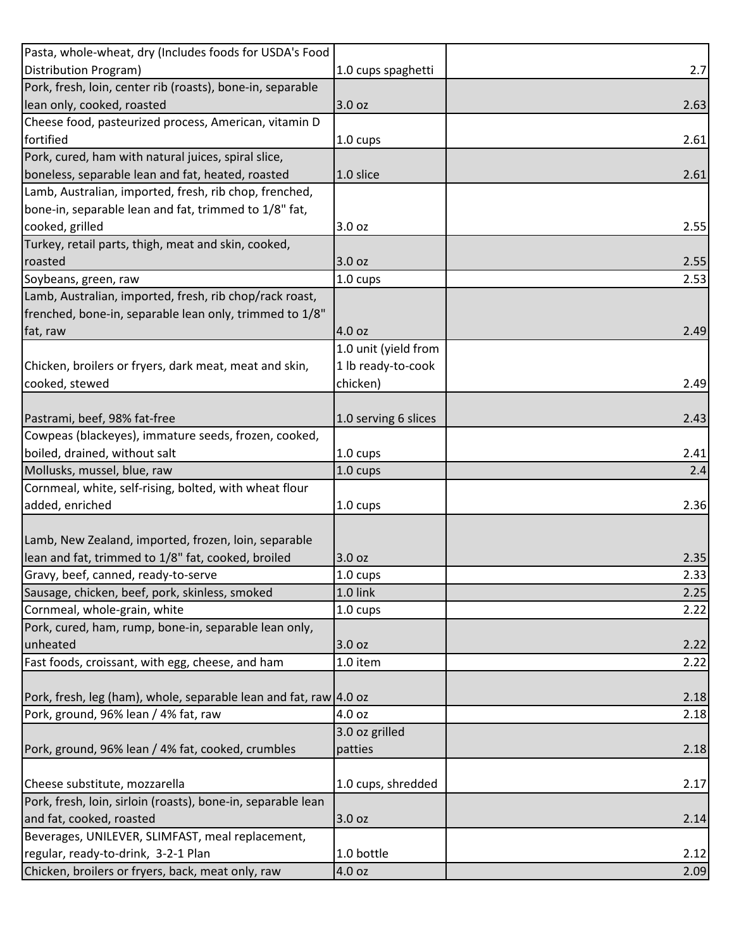| Pasta, whole-wheat, dry (Includes foods for USDA's Food                                  |                      |      |
|------------------------------------------------------------------------------------------|----------------------|------|
| Distribution Program)                                                                    | 1.0 cups spaghetti   | 2.7  |
| Pork, fresh, loin, center rib (roasts), bone-in, separable                               |                      |      |
| lean only, cooked, roasted                                                               | 3.0 oz               | 2.63 |
| Cheese food, pasteurized process, American, vitamin D                                    |                      |      |
| fortified                                                                                | $1.0 \text{ cups}$   | 2.61 |
| Pork, cured, ham with natural juices, spiral slice,                                      |                      |      |
| boneless, separable lean and fat, heated, roasted                                        | 1.0 slice            | 2.61 |
| Lamb, Australian, imported, fresh, rib chop, frenched,                                   |                      |      |
| bone-in, separable lean and fat, trimmed to 1/8" fat,                                    |                      |      |
| cooked, grilled                                                                          | 3.0 oz               | 2.55 |
| Turkey, retail parts, thigh, meat and skin, cooked,                                      |                      |      |
| roasted                                                                                  | 3.0 oz               | 2.55 |
| Soybeans, green, raw                                                                     | 1.0 cups             | 2.53 |
| Lamb, Australian, imported, fresh, rib chop/rack roast,                                  |                      |      |
| frenched, bone-in, separable lean only, trimmed to 1/8"                                  |                      |      |
| fat, raw                                                                                 | 4.0 oz               | 2.49 |
|                                                                                          | 1.0 unit (yield from |      |
| Chicken, broilers or fryers, dark meat, meat and skin,                                   | 1 lb ready-to-cook   |      |
| cooked, stewed                                                                           | chicken)             | 2.49 |
|                                                                                          |                      |      |
| Pastrami, beef, 98% fat-free                                                             | 1.0 serving 6 slices | 2.43 |
| Cowpeas (blackeyes), immature seeds, frozen, cooked,                                     |                      |      |
| boiled, drained, without salt                                                            | 1.0 cups             | 2.41 |
| Mollusks, mussel, blue, raw                                                              | 1.0 cups             | 2.4  |
|                                                                                          |                      |      |
| Cornmeal, white, self-rising, bolted, with wheat flour                                   |                      |      |
|                                                                                          | 1.0 cups             |      |
| added, enriched                                                                          |                      | 2.36 |
| Lamb, New Zealand, imported, frozen, loin, separable                                     |                      |      |
| lean and fat, trimmed to 1/8" fat, cooked, broiled                                       | 3.0 oz               | 2.35 |
| Gravy, beef, canned, ready-to-serve                                                      | 1.0 cups             | 2.33 |
| Sausage, chicken, beef, pork, skinless, smoked                                           | 1.0 link             | 2.25 |
| Cornmeal, whole-grain, white                                                             | 1.0 cups             | 2.22 |
| Pork, cured, ham, rump, bone-in, separable lean only,                                    |                      |      |
| unheated                                                                                 | 3.0 oz               | 2.22 |
| Fast foods, croissant, with egg, cheese, and ham                                         | 1.0 item             | 2.22 |
|                                                                                          |                      |      |
| Pork, fresh, leg (ham), whole, separable lean and fat, raw 4.0 oz                        |                      | 2.18 |
| Pork, ground, 96% lean / 4% fat, raw                                                     | 4.0 oz               | 2.18 |
|                                                                                          | 3.0 oz grilled       |      |
|                                                                                          | patties              | 2.18 |
| Pork, ground, 96% lean / 4% fat, cooked, crumbles                                        |                      |      |
| Cheese substitute, mozzarella                                                            | 1.0 cups, shredded   | 2.17 |
|                                                                                          |                      |      |
| Pork, fresh, loin, sirloin (roasts), bone-in, separable lean<br>and fat, cooked, roasted | 3.0 oz               | 2.14 |
| Beverages, UNILEVER, SLIMFAST, meal replacement,                                         |                      |      |
| regular, ready-to-drink, 3-2-1 Plan                                                      | 1.0 bottle           | 2.12 |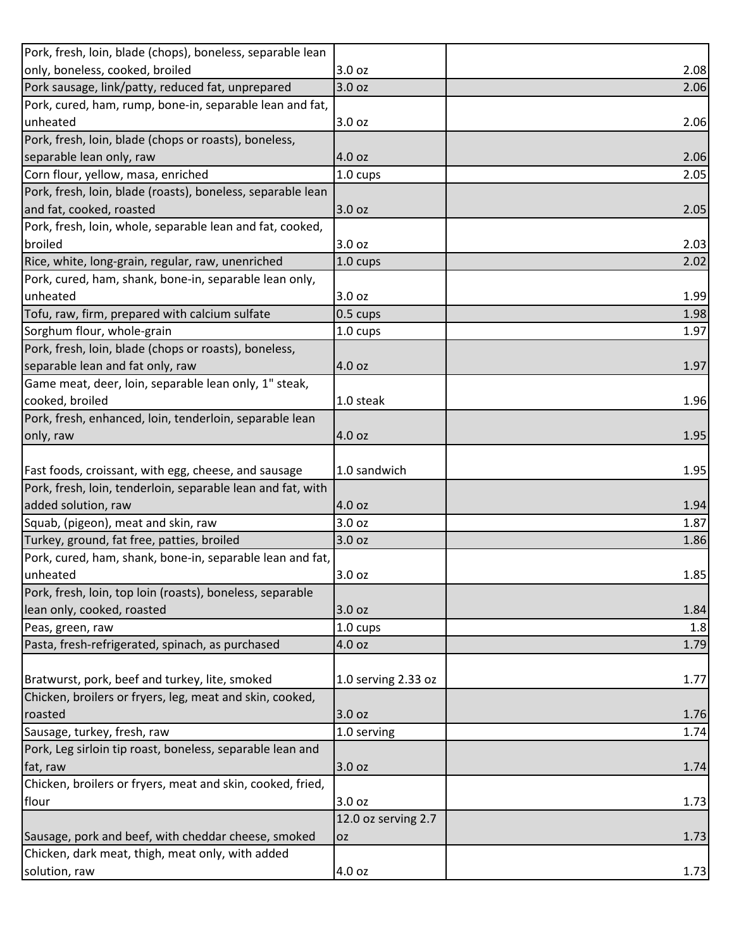| only, boneless, cooked, broiled<br>3.0 oz<br>2.08<br>Pork sausage, link/patty, reduced fat, unprepared<br>3.0 oz<br>2.06<br>Pork, cured, ham, rump, bone-in, separable lean and fat,<br>unheated<br>3.0 oz<br>Pork, fresh, loin, blade (chops or roasts), boneless,<br>separable lean only, raw<br>4.0 oz<br>2.06<br>Corn flour, yellow, masa, enriched<br>1.0 cups<br>2.05<br>Pork, fresh, loin, blade (roasts), boneless, separable lean<br>and fat, cooked, roasted<br>3.0 oz<br>2.05<br>Pork, fresh, loin, whole, separable lean and fat, cooked,<br>broiled<br>3.0 oz<br>Rice, white, long-grain, regular, raw, unenriched<br>2.02<br>1.0 cups<br>Pork, cured, ham, shank, bone-in, separable lean only,<br>unheated<br>3.0 oz<br>Tofu, raw, firm, prepared with calcium sulfate<br>0.5 cups<br>1.98<br>Sorghum flour, whole-grain<br>1.0 cups<br>1.97<br>Pork, fresh, loin, blade (chops or roasts), boneless,<br>separable lean and fat only, raw<br>4.0 oz<br>1.97<br>Game meat, deer, loin, separable lean only, 1" steak,<br>cooked, broiled<br>1.0 steak<br>Pork, fresh, enhanced, loin, tenderloin, separable lean<br>only, raw<br>4.0 oz<br>1.95<br>Fast foods, croissant, with egg, cheese, and sausage<br>1.0 sandwich<br>Pork, fresh, loin, tenderloin, separable lean and fat, with<br>added solution, raw<br>4.0 oz<br>1.94<br>Squab, (pigeon), meat and skin, raw<br>3.0 oz<br>1.87<br>Turkey, ground, fat free, patties, broiled<br>3.0 oz<br>1.86<br>Pork, cured, ham, shank, bone-in, separable lean and fat,<br>3.0 oz<br>unheated<br>Pork, fresh, loin, top loin (roasts), boneless, separable<br>lean only, cooked, roasted<br>3.0 oz<br>1.84<br>1.0 cups<br>1.8<br>Peas, green, raw<br>Pasta, fresh-refrigerated, spinach, as purchased<br>4.0 oz<br>1.79 |
|-------------------------------------------------------------------------------------------------------------------------------------------------------------------------------------------------------------------------------------------------------------------------------------------------------------------------------------------------------------------------------------------------------------------------------------------------------------------------------------------------------------------------------------------------------------------------------------------------------------------------------------------------------------------------------------------------------------------------------------------------------------------------------------------------------------------------------------------------------------------------------------------------------------------------------------------------------------------------------------------------------------------------------------------------------------------------------------------------------------------------------------------------------------------------------------------------------------------------------------------------------------------------------------------------------------------------------------------------------------------------------------------------------------------------------------------------------------------------------------------------------------------------------------------------------------------------------------------------------------------------------------------------------------------------------------------------------------------------------------------------------------------------------------|
| 2.06<br>2.03<br>1.99<br>1.96<br>1.95<br>1.85                                                                                                                                                                                                                                                                                                                                                                                                                                                                                                                                                                                                                                                                                                                                                                                                                                                                                                                                                                                                                                                                                                                                                                                                                                                                                                                                                                                                                                                                                                                                                                                                                                                                                                                                        |
|                                                                                                                                                                                                                                                                                                                                                                                                                                                                                                                                                                                                                                                                                                                                                                                                                                                                                                                                                                                                                                                                                                                                                                                                                                                                                                                                                                                                                                                                                                                                                                                                                                                                                                                                                                                     |
|                                                                                                                                                                                                                                                                                                                                                                                                                                                                                                                                                                                                                                                                                                                                                                                                                                                                                                                                                                                                                                                                                                                                                                                                                                                                                                                                                                                                                                                                                                                                                                                                                                                                                                                                                                                     |
|                                                                                                                                                                                                                                                                                                                                                                                                                                                                                                                                                                                                                                                                                                                                                                                                                                                                                                                                                                                                                                                                                                                                                                                                                                                                                                                                                                                                                                                                                                                                                                                                                                                                                                                                                                                     |
|                                                                                                                                                                                                                                                                                                                                                                                                                                                                                                                                                                                                                                                                                                                                                                                                                                                                                                                                                                                                                                                                                                                                                                                                                                                                                                                                                                                                                                                                                                                                                                                                                                                                                                                                                                                     |
|                                                                                                                                                                                                                                                                                                                                                                                                                                                                                                                                                                                                                                                                                                                                                                                                                                                                                                                                                                                                                                                                                                                                                                                                                                                                                                                                                                                                                                                                                                                                                                                                                                                                                                                                                                                     |
|                                                                                                                                                                                                                                                                                                                                                                                                                                                                                                                                                                                                                                                                                                                                                                                                                                                                                                                                                                                                                                                                                                                                                                                                                                                                                                                                                                                                                                                                                                                                                                                                                                                                                                                                                                                     |
|                                                                                                                                                                                                                                                                                                                                                                                                                                                                                                                                                                                                                                                                                                                                                                                                                                                                                                                                                                                                                                                                                                                                                                                                                                                                                                                                                                                                                                                                                                                                                                                                                                                                                                                                                                                     |
|                                                                                                                                                                                                                                                                                                                                                                                                                                                                                                                                                                                                                                                                                                                                                                                                                                                                                                                                                                                                                                                                                                                                                                                                                                                                                                                                                                                                                                                                                                                                                                                                                                                                                                                                                                                     |
|                                                                                                                                                                                                                                                                                                                                                                                                                                                                                                                                                                                                                                                                                                                                                                                                                                                                                                                                                                                                                                                                                                                                                                                                                                                                                                                                                                                                                                                                                                                                                                                                                                                                                                                                                                                     |
|                                                                                                                                                                                                                                                                                                                                                                                                                                                                                                                                                                                                                                                                                                                                                                                                                                                                                                                                                                                                                                                                                                                                                                                                                                                                                                                                                                                                                                                                                                                                                                                                                                                                                                                                                                                     |
|                                                                                                                                                                                                                                                                                                                                                                                                                                                                                                                                                                                                                                                                                                                                                                                                                                                                                                                                                                                                                                                                                                                                                                                                                                                                                                                                                                                                                                                                                                                                                                                                                                                                                                                                                                                     |
|                                                                                                                                                                                                                                                                                                                                                                                                                                                                                                                                                                                                                                                                                                                                                                                                                                                                                                                                                                                                                                                                                                                                                                                                                                                                                                                                                                                                                                                                                                                                                                                                                                                                                                                                                                                     |
|                                                                                                                                                                                                                                                                                                                                                                                                                                                                                                                                                                                                                                                                                                                                                                                                                                                                                                                                                                                                                                                                                                                                                                                                                                                                                                                                                                                                                                                                                                                                                                                                                                                                                                                                                                                     |
|                                                                                                                                                                                                                                                                                                                                                                                                                                                                                                                                                                                                                                                                                                                                                                                                                                                                                                                                                                                                                                                                                                                                                                                                                                                                                                                                                                                                                                                                                                                                                                                                                                                                                                                                                                                     |
|                                                                                                                                                                                                                                                                                                                                                                                                                                                                                                                                                                                                                                                                                                                                                                                                                                                                                                                                                                                                                                                                                                                                                                                                                                                                                                                                                                                                                                                                                                                                                                                                                                                                                                                                                                                     |
|                                                                                                                                                                                                                                                                                                                                                                                                                                                                                                                                                                                                                                                                                                                                                                                                                                                                                                                                                                                                                                                                                                                                                                                                                                                                                                                                                                                                                                                                                                                                                                                                                                                                                                                                                                                     |
|                                                                                                                                                                                                                                                                                                                                                                                                                                                                                                                                                                                                                                                                                                                                                                                                                                                                                                                                                                                                                                                                                                                                                                                                                                                                                                                                                                                                                                                                                                                                                                                                                                                                                                                                                                                     |
|                                                                                                                                                                                                                                                                                                                                                                                                                                                                                                                                                                                                                                                                                                                                                                                                                                                                                                                                                                                                                                                                                                                                                                                                                                                                                                                                                                                                                                                                                                                                                                                                                                                                                                                                                                                     |
|                                                                                                                                                                                                                                                                                                                                                                                                                                                                                                                                                                                                                                                                                                                                                                                                                                                                                                                                                                                                                                                                                                                                                                                                                                                                                                                                                                                                                                                                                                                                                                                                                                                                                                                                                                                     |
|                                                                                                                                                                                                                                                                                                                                                                                                                                                                                                                                                                                                                                                                                                                                                                                                                                                                                                                                                                                                                                                                                                                                                                                                                                                                                                                                                                                                                                                                                                                                                                                                                                                                                                                                                                                     |
|                                                                                                                                                                                                                                                                                                                                                                                                                                                                                                                                                                                                                                                                                                                                                                                                                                                                                                                                                                                                                                                                                                                                                                                                                                                                                                                                                                                                                                                                                                                                                                                                                                                                                                                                                                                     |
|                                                                                                                                                                                                                                                                                                                                                                                                                                                                                                                                                                                                                                                                                                                                                                                                                                                                                                                                                                                                                                                                                                                                                                                                                                                                                                                                                                                                                                                                                                                                                                                                                                                                                                                                                                                     |
|                                                                                                                                                                                                                                                                                                                                                                                                                                                                                                                                                                                                                                                                                                                                                                                                                                                                                                                                                                                                                                                                                                                                                                                                                                                                                                                                                                                                                                                                                                                                                                                                                                                                                                                                                                                     |
|                                                                                                                                                                                                                                                                                                                                                                                                                                                                                                                                                                                                                                                                                                                                                                                                                                                                                                                                                                                                                                                                                                                                                                                                                                                                                                                                                                                                                                                                                                                                                                                                                                                                                                                                                                                     |
|                                                                                                                                                                                                                                                                                                                                                                                                                                                                                                                                                                                                                                                                                                                                                                                                                                                                                                                                                                                                                                                                                                                                                                                                                                                                                                                                                                                                                                                                                                                                                                                                                                                                                                                                                                                     |
|                                                                                                                                                                                                                                                                                                                                                                                                                                                                                                                                                                                                                                                                                                                                                                                                                                                                                                                                                                                                                                                                                                                                                                                                                                                                                                                                                                                                                                                                                                                                                                                                                                                                                                                                                                                     |
|                                                                                                                                                                                                                                                                                                                                                                                                                                                                                                                                                                                                                                                                                                                                                                                                                                                                                                                                                                                                                                                                                                                                                                                                                                                                                                                                                                                                                                                                                                                                                                                                                                                                                                                                                                                     |
|                                                                                                                                                                                                                                                                                                                                                                                                                                                                                                                                                                                                                                                                                                                                                                                                                                                                                                                                                                                                                                                                                                                                                                                                                                                                                                                                                                                                                                                                                                                                                                                                                                                                                                                                                                                     |
|                                                                                                                                                                                                                                                                                                                                                                                                                                                                                                                                                                                                                                                                                                                                                                                                                                                                                                                                                                                                                                                                                                                                                                                                                                                                                                                                                                                                                                                                                                                                                                                                                                                                                                                                                                                     |
|                                                                                                                                                                                                                                                                                                                                                                                                                                                                                                                                                                                                                                                                                                                                                                                                                                                                                                                                                                                                                                                                                                                                                                                                                                                                                                                                                                                                                                                                                                                                                                                                                                                                                                                                                                                     |
|                                                                                                                                                                                                                                                                                                                                                                                                                                                                                                                                                                                                                                                                                                                                                                                                                                                                                                                                                                                                                                                                                                                                                                                                                                                                                                                                                                                                                                                                                                                                                                                                                                                                                                                                                                                     |
|                                                                                                                                                                                                                                                                                                                                                                                                                                                                                                                                                                                                                                                                                                                                                                                                                                                                                                                                                                                                                                                                                                                                                                                                                                                                                                                                                                                                                                                                                                                                                                                                                                                                                                                                                                                     |
|                                                                                                                                                                                                                                                                                                                                                                                                                                                                                                                                                                                                                                                                                                                                                                                                                                                                                                                                                                                                                                                                                                                                                                                                                                                                                                                                                                                                                                                                                                                                                                                                                                                                                                                                                                                     |
|                                                                                                                                                                                                                                                                                                                                                                                                                                                                                                                                                                                                                                                                                                                                                                                                                                                                                                                                                                                                                                                                                                                                                                                                                                                                                                                                                                                                                                                                                                                                                                                                                                                                                                                                                                                     |
| Bratwurst, pork, beef and turkey, lite, smoked<br>1.0 serving 2.33 oz<br>1.77                                                                                                                                                                                                                                                                                                                                                                                                                                                                                                                                                                                                                                                                                                                                                                                                                                                                                                                                                                                                                                                                                                                                                                                                                                                                                                                                                                                                                                                                                                                                                                                                                                                                                                       |
| Chicken, broilers or fryers, leg, meat and skin, cooked,                                                                                                                                                                                                                                                                                                                                                                                                                                                                                                                                                                                                                                                                                                                                                                                                                                                                                                                                                                                                                                                                                                                                                                                                                                                                                                                                                                                                                                                                                                                                                                                                                                                                                                                            |
| 3.0 oz<br>roasted<br>1.76                                                                                                                                                                                                                                                                                                                                                                                                                                                                                                                                                                                                                                                                                                                                                                                                                                                                                                                                                                                                                                                                                                                                                                                                                                                                                                                                                                                                                                                                                                                                                                                                                                                                                                                                                           |
| Sausage, turkey, fresh, raw<br>1.0 serving<br>1.74                                                                                                                                                                                                                                                                                                                                                                                                                                                                                                                                                                                                                                                                                                                                                                                                                                                                                                                                                                                                                                                                                                                                                                                                                                                                                                                                                                                                                                                                                                                                                                                                                                                                                                                                  |
| Pork, Leg sirloin tip roast, boneless, separable lean and                                                                                                                                                                                                                                                                                                                                                                                                                                                                                                                                                                                                                                                                                                                                                                                                                                                                                                                                                                                                                                                                                                                                                                                                                                                                                                                                                                                                                                                                                                                                                                                                                                                                                                                           |
| fat, raw<br>3.0 oz<br>1.74                                                                                                                                                                                                                                                                                                                                                                                                                                                                                                                                                                                                                                                                                                                                                                                                                                                                                                                                                                                                                                                                                                                                                                                                                                                                                                                                                                                                                                                                                                                                                                                                                                                                                                                                                          |
| Chicken, broilers or fryers, meat and skin, cooked, fried,                                                                                                                                                                                                                                                                                                                                                                                                                                                                                                                                                                                                                                                                                                                                                                                                                                                                                                                                                                                                                                                                                                                                                                                                                                                                                                                                                                                                                                                                                                                                                                                                                                                                                                                          |
| flour<br>3.0 oz<br>1.73                                                                                                                                                                                                                                                                                                                                                                                                                                                                                                                                                                                                                                                                                                                                                                                                                                                                                                                                                                                                                                                                                                                                                                                                                                                                                                                                                                                                                                                                                                                                                                                                                                                                                                                                                             |
| 12.0 oz serving 2.7                                                                                                                                                                                                                                                                                                                                                                                                                                                                                                                                                                                                                                                                                                                                                                                                                                                                                                                                                                                                                                                                                                                                                                                                                                                                                                                                                                                                                                                                                                                                                                                                                                                                                                                                                                 |
| Sausage, pork and beef, with cheddar cheese, smoked<br>1.73<br><b>OZ</b>                                                                                                                                                                                                                                                                                                                                                                                                                                                                                                                                                                                                                                                                                                                                                                                                                                                                                                                                                                                                                                                                                                                                                                                                                                                                                                                                                                                                                                                                                                                                                                                                                                                                                                            |
| Chicken, dark meat, thigh, meat only, with added                                                                                                                                                                                                                                                                                                                                                                                                                                                                                                                                                                                                                                                                                                                                                                                                                                                                                                                                                                                                                                                                                                                                                                                                                                                                                                                                                                                                                                                                                                                                                                                                                                                                                                                                    |
| solution, raw<br>4.0 oz<br>1.73                                                                                                                                                                                                                                                                                                                                                                                                                                                                                                                                                                                                                                                                                                                                                                                                                                                                                                                                                                                                                                                                                                                                                                                                                                                                                                                                                                                                                                                                                                                                                                                                                                                                                                                                                     |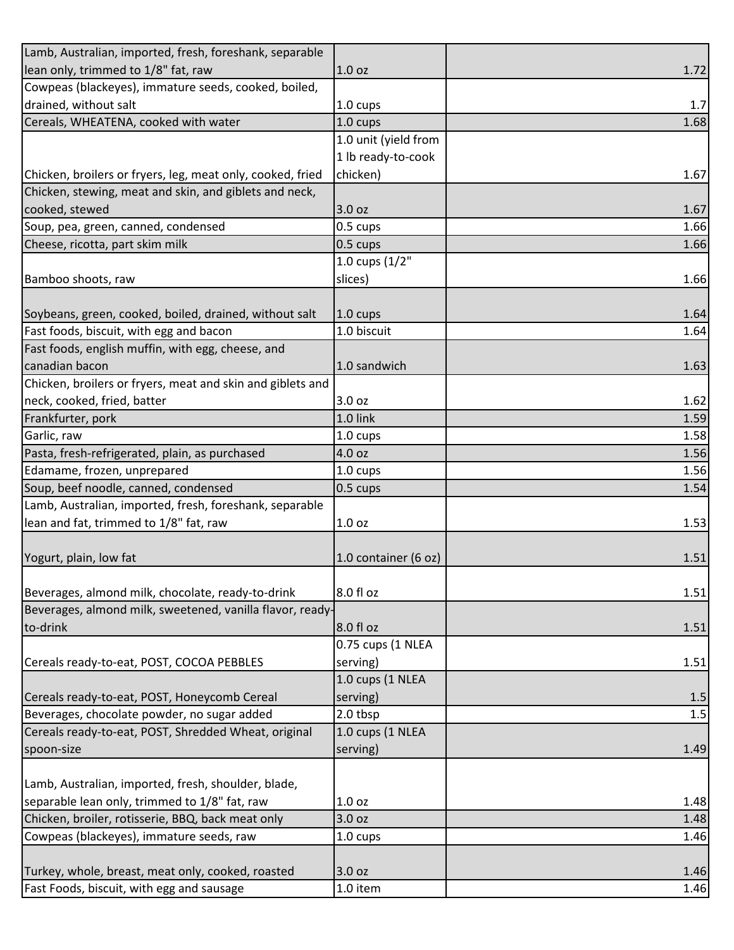| Lamb, Australian, imported, fresh, foreshank, separable    |                      |      |
|------------------------------------------------------------|----------------------|------|
| lean only, trimmed to 1/8" fat, raw                        | 1.0 <sub>oz</sub>    | 1.72 |
| Cowpeas (blackeyes), immature seeds, cooked, boiled,       |                      |      |
| drained, without salt                                      | $1.0 \text{ cups}$   | 1.7  |
| Cereals, WHEATENA, cooked with water                       | 1.0 cups             | 1.68 |
|                                                            | 1.0 unit (yield from |      |
|                                                            | 1 lb ready-to-cook   |      |
| Chicken, broilers or fryers, leg, meat only, cooked, fried | chicken)             | 1.67 |
| Chicken, stewing, meat and skin, and giblets and neck,     |                      |      |
| cooked, stewed                                             | 3.0 oz               | 1.67 |
| Soup, pea, green, canned, condensed                        | 0.5 cups             | 1.66 |
| Cheese, ricotta, part skim milk                            | 0.5 cups             | 1.66 |
|                                                            | 1.0 cups $(1/2"$     |      |
| Bamboo shoots, raw                                         | slices)              | 1.66 |
|                                                            |                      |      |
| Soybeans, green, cooked, boiled, drained, without salt     | $1.0 \text{ cups}$   | 1.64 |
| Fast foods, biscuit, with egg and bacon                    | 1.0 biscuit          | 1.64 |
| Fast foods, english muffin, with egg, cheese, and          |                      |      |
| canadian bacon                                             | 1.0 sandwich         | 1.63 |
| Chicken, broilers or fryers, meat and skin and giblets and |                      |      |
| neck, cooked, fried, batter                                | 3.0 oz               | 1.62 |
| Frankfurter, pork                                          | 1.0 link             | 1.59 |
| Garlic, raw                                                | 1.0 cups             | 1.58 |
| Pasta, fresh-refrigerated, plain, as purchased             | 4.0 oz               | 1.56 |
| Edamame, frozen, unprepared                                | 1.0 cups             | 1.56 |
| Soup, beef noodle, canned, condensed                       | $0.5 \text{ cups}$   | 1.54 |
| Lamb, Australian, imported, fresh, foreshank, separable    |                      |      |
| lean and fat, trimmed to 1/8" fat, raw                     | 1.0 <sub>oz</sub>    | 1.53 |
|                                                            |                      |      |
| Yogurt, plain, low fat                                     | 1.0 container (6 oz) | 1.51 |
|                                                            |                      |      |
| Beverages, almond milk, chocolate, ready-to-drink          | 8.0 fl oz            | 1.51 |
| Beverages, almond milk, sweetened, vanilla flavor, ready-  |                      |      |
| to-drink                                                   | 8.0 fl oz            | 1.51 |
|                                                            | 0.75 cups (1 NLEA    |      |
| Cereals ready-to-eat, POST, COCOA PEBBLES                  | serving)             | 1.51 |
|                                                            | 1.0 cups (1 NLEA     |      |
| Cereals ready-to-eat, POST, Honeycomb Cereal               | serving)             | 1.5  |
| Beverages, chocolate powder, no sugar added                | 2.0 tbsp             | 1.5  |
| Cereals ready-to-eat, POST, Shredded Wheat, original       | 1.0 cups (1 NLEA     |      |
| spoon-size                                                 | serving)             | 1.49 |
|                                                            |                      |      |
| Lamb, Australian, imported, fresh, shoulder, blade,        |                      |      |
| separable lean only, trimmed to 1/8" fat, raw              | 1.0 <sub>oz</sub>    | 1.48 |
| Chicken, broiler, rotisserie, BBQ, back meat only          | 3.0 oz               | 1.48 |
| Cowpeas (blackeyes), immature seeds, raw                   | 1.0 cups             | 1.46 |
|                                                            |                      |      |
| Turkey, whole, breast, meat only, cooked, roasted          | 3.0 oz               | 1.46 |
| Fast Foods, biscuit, with egg and sausage                  | 1.0 item             | 1.46 |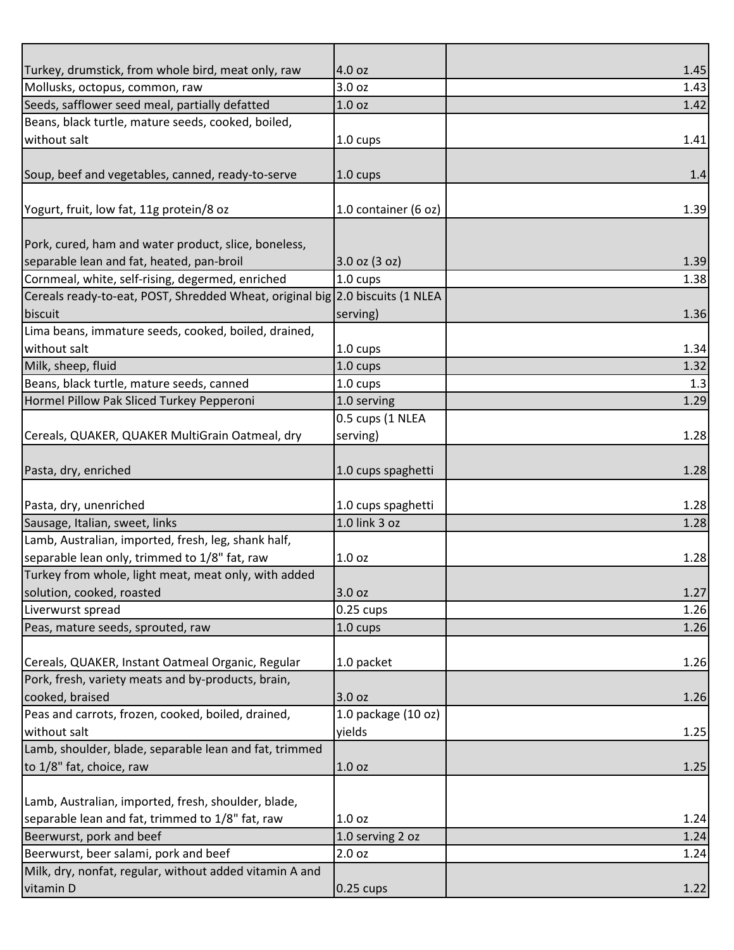| Turkey, drumstick, from whole bird, meat only, raw                                     | 4.0 oz                          | 1.45 |
|----------------------------------------------------------------------------------------|---------------------------------|------|
| Mollusks, octopus, common, raw                                                         | 3.0 oz                          | 1.43 |
| Seeds, safflower seed meal, partially defatted                                         | 1.0 <sub>oz</sub>               | 1.42 |
| Beans, black turtle, mature seeds, cooked, boiled,                                     |                                 |      |
| without salt                                                                           | 1.0 cups                        | 1.41 |
|                                                                                        |                                 |      |
| Soup, beef and vegetables, canned, ready-to-serve                                      | 1.0 cups                        | 1.4  |
|                                                                                        |                                 |      |
| Yogurt, fruit, low fat, 11g protein/8 oz                                               | 1.0 container (6 oz)            | 1.39 |
|                                                                                        |                                 |      |
| Pork, cured, ham and water product, slice, boneless,                                   |                                 |      |
| separable lean and fat, heated, pan-broil                                              | 3.0 oz (3 oz)                   | 1.39 |
| Cornmeal, white, self-rising, degermed, enriched                                       | 1.0 cups                        | 1.38 |
| Cereals ready-to-eat, POST, Shredded Wheat, original big 2.0 biscuits (1 NLEA          |                                 |      |
| biscuit                                                                                | serving)                        | 1.36 |
| Lima beans, immature seeds, cooked, boiled, drained,                                   |                                 |      |
| without salt                                                                           | 1.0 cups                        | 1.34 |
| Milk, sheep, fluid                                                                     | 1.0 cups                        | 1.32 |
| Beans, black turtle, mature seeds, canned<br>Hormel Pillow Pak Sliced Turkey Pepperoni | 1.0 cups                        | 1.3  |
|                                                                                        | 1.0 serving<br>0.5 cups (1 NLEA | 1.29 |
|                                                                                        |                                 | 1.28 |
| Cereals, QUAKER, QUAKER MultiGrain Oatmeal, dry                                        | serving)                        |      |
| Pasta, dry, enriched                                                                   | 1.0 cups spaghetti              | 1.28 |
|                                                                                        |                                 |      |
| Pasta, dry, unenriched                                                                 | 1.0 cups spaghetti              | 1.28 |
| Sausage, Italian, sweet, links                                                         | 1.0 link 3 oz                   | 1.28 |
| Lamb, Australian, imported, fresh, leg, shank half,                                    |                                 |      |
| separable lean only, trimmed to 1/8" fat, raw                                          | 1.0 <sub>oz</sub>               | 1.28 |
| Turkey from whole, light meat, meat only, with added                                   |                                 |      |
| solution, cooked, roasted                                                              | 3.0 oz                          | 1.27 |
| Liverwurst spread                                                                      | $0.25$ cups                     | 1.26 |
| Peas, mature seeds, sprouted, raw                                                      | 1.0 cups                        | 1.26 |
|                                                                                        |                                 |      |
| Cereals, QUAKER, Instant Oatmeal Organic, Regular                                      | 1.0 packet                      | 1.26 |
| Pork, fresh, variety meats and by-products, brain,                                     |                                 |      |
| cooked, braised                                                                        | 3.0 oz                          | 1.26 |
| Peas and carrots, frozen, cooked, boiled, drained,                                     | 1.0 package (10 oz)             |      |
| without salt                                                                           | yields                          | 1.25 |
| Lamb, shoulder, blade, separable lean and fat, trimmed                                 |                                 |      |
| to 1/8" fat, choice, raw                                                               | 1.0 <sub>oz</sub>               | 1.25 |
|                                                                                        |                                 |      |
| Lamb, Australian, imported, fresh, shoulder, blade,                                    |                                 |      |
| separable lean and fat, trimmed to 1/8" fat, raw                                       | 1.0 <sub>oz</sub>               | 1.24 |
| Beerwurst, pork and beef                                                               | 1.0 serving 2 oz                | 1.24 |
| Beerwurst, beer salami, pork and beef                                                  | 2.0 oz                          | 1.24 |
| Milk, dry, nonfat, regular, without added vitamin A and                                |                                 |      |
| vitamin D                                                                              | $0.25$ cups                     | 1.22 |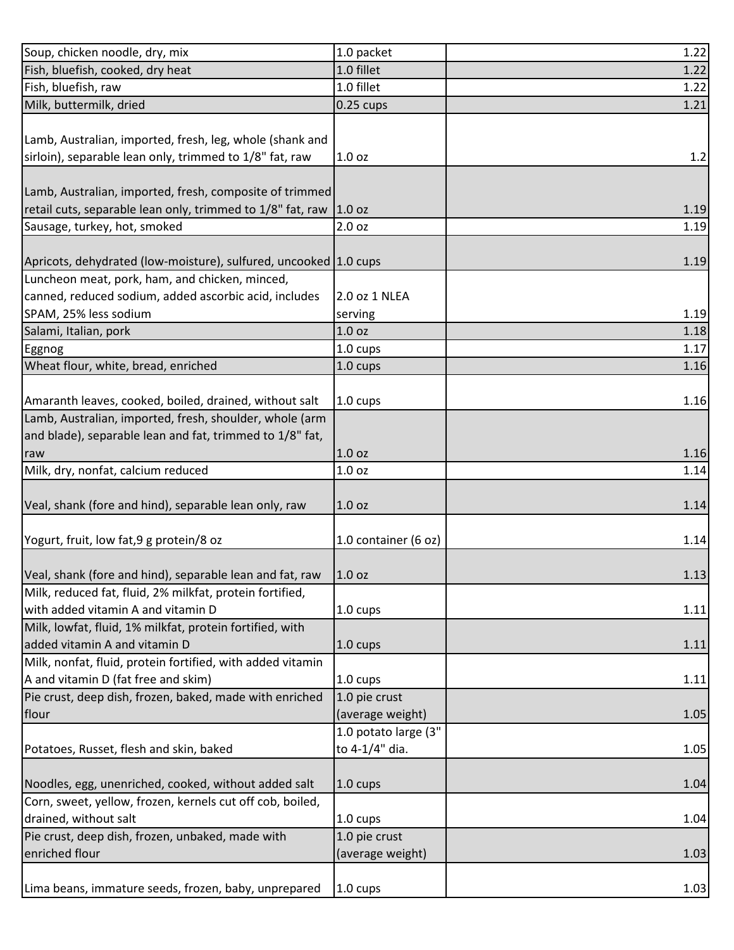| Soup, chicken noodle, dry, mix                                   | 1.0 packet           | 1.22 |
|------------------------------------------------------------------|----------------------|------|
| Fish, bluefish, cooked, dry heat                                 | 1.0 fillet           | 1.22 |
| Fish, bluefish, raw                                              | 1.0 fillet           | 1.22 |
| Milk, buttermilk, dried                                          | $0.25$ cups          | 1.21 |
|                                                                  |                      |      |
| Lamb, Australian, imported, fresh, leg, whole (shank and         |                      |      |
| sirloin), separable lean only, trimmed to 1/8" fat, raw          | 1.0 <sub>oz</sub>    | 1.2  |
|                                                                  |                      |      |
| Lamb, Australian, imported, fresh, composite of trimmed          |                      |      |
| retail cuts, separable lean only, trimmed to 1/8" fat, raw       | 1.0 oz               | 1.19 |
| Sausage, turkey, hot, smoked                                     | 2.0 oz               | 1.19 |
|                                                                  |                      |      |
| Apricots, dehydrated (low-moisture), sulfured, uncooked 1.0 cups |                      | 1.19 |
| Luncheon meat, pork, ham, and chicken, minced,                   |                      |      |
| canned, reduced sodium, added ascorbic acid, includes            | 2.0 oz 1 NLEA        |      |
| SPAM, 25% less sodium                                            | serving              | 1.19 |
| Salami, Italian, pork                                            | 1.0 <sub>oz</sub>    | 1.18 |
| Eggnog                                                           | 1.0 cups             | 1.17 |
| Wheat flour, white, bread, enriched                              | 1.0 cups             | 1.16 |
|                                                                  |                      |      |
| Amaranth leaves, cooked, boiled, drained, without salt           | 1.0 cups             | 1.16 |
| Lamb, Australian, imported, fresh, shoulder, whole (arm          |                      |      |
| and blade), separable lean and fat, trimmed to 1/8" fat,         |                      |      |
| raw                                                              | 1.0 <sub>oz</sub>    | 1.16 |
| Milk, dry, nonfat, calcium reduced                               | 1.0 oz               | 1.14 |
|                                                                  |                      |      |
| Veal, shank (fore and hind), separable lean only, raw            | 1.0 <sub>oz</sub>    | 1.14 |
|                                                                  |                      |      |
| Yogurt, fruit, low fat, 9 g protein/8 oz                         | 1.0 container (6 oz) | 1.14 |
|                                                                  |                      |      |
| Veal, shank (fore and hind), separable lean and fat, raw         | 1.0 <sub>oz</sub>    | 1.13 |
| Milk, reduced fat, fluid, 2% milkfat, protein fortified,         |                      |      |
| with added vitamin A and vitamin D                               | 1.0 cups             | 1.11 |
| Milk, lowfat, fluid, 1% milkfat, protein fortified, with         |                      |      |
| added vitamin A and vitamin D                                    | 1.0 cups             | 1.11 |
| Milk, nonfat, fluid, protein fortified, with added vitamin       |                      |      |
| A and vitamin D (fat free and skim)                              | 1.0 cups             | 1.11 |
| Pie crust, deep dish, frozen, baked, made with enriched          | 1.0 pie crust        |      |
| flour                                                            | (average weight)     | 1.05 |
|                                                                  | 1.0 potato large (3" |      |
| Potatoes, Russet, flesh and skin, baked                          | to 4-1/4" dia.       | 1.05 |
|                                                                  |                      |      |
| Noodles, egg, unenriched, cooked, without added salt             | 1.0 cups             | 1.04 |
| Corn, sweet, yellow, frozen, kernels cut off cob, boiled,        |                      |      |
| drained, without salt                                            | $1.0 \text{ cups}$   | 1.04 |
| Pie crust, deep dish, frozen, unbaked, made with                 | 1.0 pie crust        |      |
| enriched flour                                                   | (average weight)     | 1.03 |
|                                                                  |                      |      |
| Lima beans, immature seeds, frozen, baby, unprepared             | $1.0 \text{ cups}$   | 1.03 |
|                                                                  |                      |      |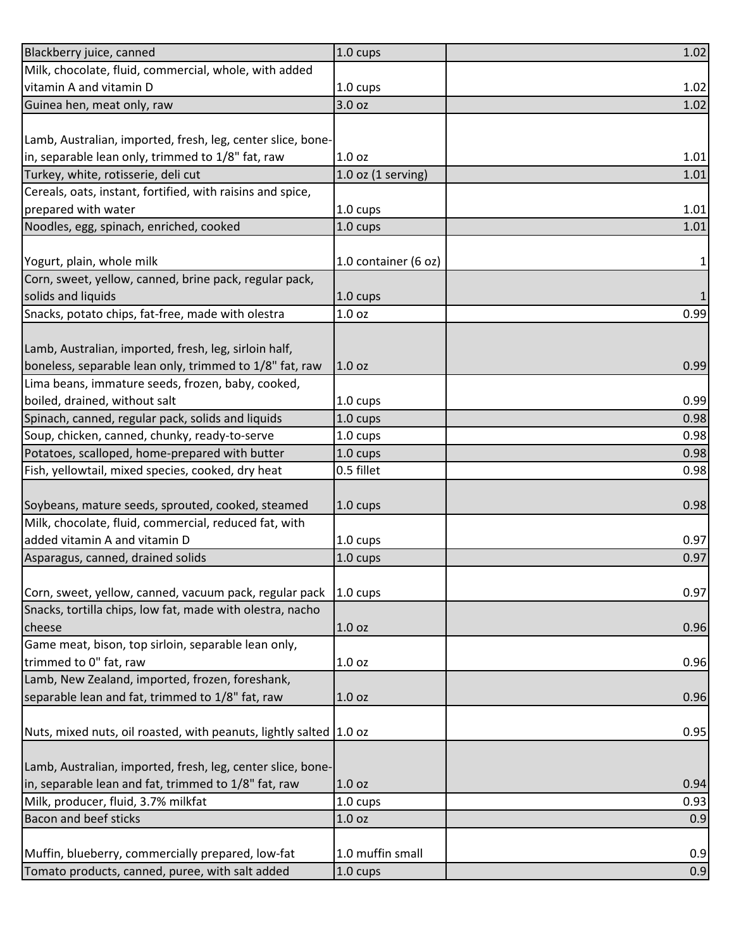| Blackberry juice, canned                                             | 1.0 cups               | 1.02 |
|----------------------------------------------------------------------|------------------------|------|
| Milk, chocolate, fluid, commercial, whole, with added                |                        |      |
| vitamin A and vitamin D                                              | 1.0 cups               | 1.02 |
| Guinea hen, meat only, raw                                           | 3.0 oz                 | 1.02 |
|                                                                      |                        |      |
| Lamb, Australian, imported, fresh, leg, center slice, bone-          |                        |      |
| in, separable lean only, trimmed to 1/8" fat, raw                    | 1.0 <sub>oz</sub>      | 1.01 |
| Turkey, white, rotisserie, deli cut                                  | $1.0$ oz $(1$ serving) | 1.01 |
| Cereals, oats, instant, fortified, with raisins and spice,           |                        |      |
| prepared with water                                                  | 1.0 cups               | 1.01 |
| Noodles, egg, spinach, enriched, cooked                              | 1.0 cups               | 1.01 |
|                                                                      |                        |      |
| Yogurt, plain, whole milk                                            | 1.0 container (6 oz)   | 1    |
| Corn, sweet, yellow, canned, brine pack, regular pack,               |                        |      |
| solids and liquids                                                   | 1.0 cups               |      |
| Snacks, potato chips, fat-free, made with olestra                    | 1.0 <sub>oz</sub>      | 0.99 |
|                                                                      |                        |      |
| Lamb, Australian, imported, fresh, leg, sirloin half,                |                        |      |
| boneless, separable lean only, trimmed to 1/8" fat, raw              | 1.0 oz                 | 0.99 |
| Lima beans, immature seeds, frozen, baby, cooked,                    |                        |      |
| boiled, drained, without salt                                        | 1.0 cups               | 0.99 |
| Spinach, canned, regular pack, solids and liquids                    | 1.0 cups               | 0.98 |
| Soup, chicken, canned, chunky, ready-to-serve                        | 1.0 cups               | 0.98 |
| Potatoes, scalloped, home-prepared with butter                       | 1.0 cups               | 0.98 |
| Fish, yellowtail, mixed species, cooked, dry heat                    | 0.5 fillet             | 0.98 |
|                                                                      |                        |      |
| Soybeans, mature seeds, sprouted, cooked, steamed                    | $1.0 \text{ cups}$     | 0.98 |
| Milk, chocolate, fluid, commercial, reduced fat, with                |                        |      |
| added vitamin A and vitamin D                                        | 1.0 cups               | 0.97 |
| Asparagus, canned, drained solids                                    | 1.0 cups               | 0.97 |
|                                                                      |                        |      |
| Corn, sweet, yellow, canned, vacuum pack, regular pack               | $1.0 \text{ cups}$     | 0.97 |
| Snacks, tortilla chips, low fat, made with olestra, nacho            |                        |      |
| cheese                                                               | 1.0 <sub>oz</sub>      | 0.96 |
| Game meat, bison, top sirloin, separable lean only,                  |                        |      |
| trimmed to 0" fat, raw                                               | 1.0 <sub>oz</sub>      | 0.96 |
| Lamb, New Zealand, imported, frozen, foreshank,                      |                        |      |
| separable lean and fat, trimmed to 1/8" fat, raw                     | 1.0 oz                 | 0.96 |
|                                                                      |                        |      |
| Nuts, mixed nuts, oil roasted, with peanuts, lightly salted   1.0 oz |                        | 0.95 |
|                                                                      |                        |      |
| Lamb, Australian, imported, fresh, leg, center slice, bone-          |                        |      |
| in, separable lean and fat, trimmed to 1/8" fat, raw                 | 1.0 <sub>oz</sub>      | 0.94 |
| Milk, producer, fluid, 3.7% milkfat                                  | 1.0 cups               | 0.93 |
| <b>Bacon and beef sticks</b>                                         | 1.0 oz                 | 0.9  |
|                                                                      |                        |      |
| Muffin, blueberry, commercially prepared, low-fat                    | 1.0 muffin small       | 0.9  |
| Tomato products, canned, puree, with salt added                      | 1.0 cups               | 0.9  |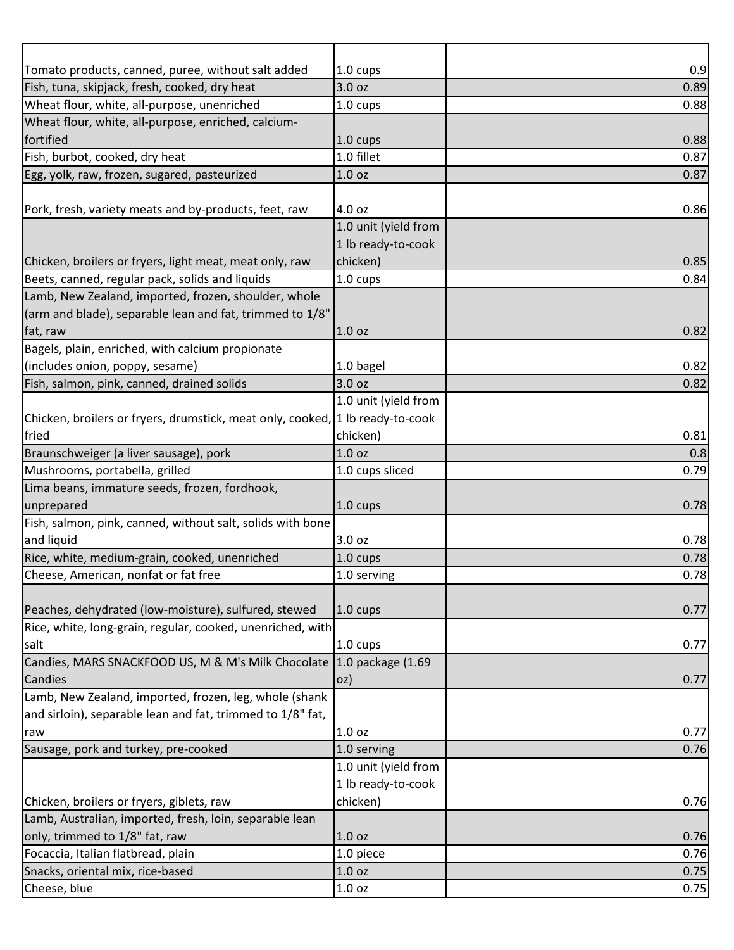| Tomato products, canned, puree, without salt added                            | $1.0 \text{ cups}$   | 0.9  |
|-------------------------------------------------------------------------------|----------------------|------|
| Fish, tuna, skipjack, fresh, cooked, dry heat                                 | 3.0 oz               | 0.89 |
| Wheat flour, white, all-purpose, unenriched                                   | 1.0 cups             | 0.88 |
| Wheat flour, white, all-purpose, enriched, calcium-                           |                      |      |
| fortified                                                                     | 1.0 cups             | 0.88 |
| Fish, burbot, cooked, dry heat                                                | 1.0 fillet           | 0.87 |
| Egg, yolk, raw, frozen, sugared, pasteurized                                  | 1.0 oz               | 0.87 |
|                                                                               |                      |      |
| Pork, fresh, variety meats and by-products, feet, raw                         | 4.0 oz               | 0.86 |
|                                                                               | 1.0 unit (yield from |      |
|                                                                               | 1 lb ready-to-cook   |      |
| Chicken, broilers or fryers, light meat, meat only, raw                       | chicken)             | 0.85 |
| Beets, canned, regular pack, solids and liquids                               | 1.0 cups             | 0.84 |
| Lamb, New Zealand, imported, frozen, shoulder, whole                          |                      |      |
| (arm and blade), separable lean and fat, trimmed to 1/8"                      |                      |      |
| fat, raw                                                                      | 1.0 <sub>oz</sub>    | 0.82 |
| Bagels, plain, enriched, with calcium propionate                              |                      |      |
| (includes onion, poppy, sesame)                                               | 1.0 bagel            | 0.82 |
| Fish, salmon, pink, canned, drained solids                                    | 3.0 oz               | 0.82 |
|                                                                               | 1.0 unit (yield from |      |
| Chicken, broilers or fryers, drumstick, meat only, cooked, 1 lb ready-to-cook |                      |      |
| fried                                                                         | chicken)             | 0.81 |
| Braunschweiger (a liver sausage), pork                                        | 1.0 oz               | 0.8  |
| Mushrooms, portabella, grilled                                                | 1.0 cups sliced      | 0.79 |
| Lima beans, immature seeds, frozen, fordhook,                                 |                      |      |
| unprepared                                                                    | $1.0 \text{ cups}$   | 0.78 |
| Fish, salmon, pink, canned, without salt, solids with bone                    |                      |      |
| and liquid                                                                    | 3.0 oz               | 0.78 |
| Rice, white, medium-grain, cooked, unenriched                                 | 1.0 cups             | 0.78 |
| Cheese, American, nonfat or fat free                                          | 1.0 serving          | 0.78 |
|                                                                               |                      |      |
| Peaches, dehydrated (low-moisture), sulfured, stewed                          | $1.0 \text{ cups}$   | 0.77 |
| Rice, white, long-grain, regular, cooked, unenriched, with                    |                      |      |
| salt                                                                          | $1.0 \text{ cups}$   | 0.77 |
| Candies, MARS SNACKFOOD US, M & M's Milk Chocolate 1.0 package (1.69          |                      |      |
| Candies                                                                       | oz)                  | 0.77 |
| Lamb, New Zealand, imported, frozen, leg, whole (shank                        |                      |      |
| and sirloin), separable lean and fat, trimmed to 1/8" fat,                    |                      |      |
| raw                                                                           | 1.0 <sub>oz</sub>    | 0.77 |
| Sausage, pork and turkey, pre-cooked                                          | 1.0 serving          | 0.76 |
|                                                                               | 1.0 unit (yield from |      |
|                                                                               | 1 lb ready-to-cook   |      |
| Chicken, broilers or fryers, giblets, raw                                     | chicken)             | 0.76 |
| Lamb, Australian, imported, fresh, loin, separable lean                       |                      |      |
| only, trimmed to 1/8" fat, raw                                                | 1.0 <sub>oz</sub>    | 0.76 |
| Focaccia, Italian flatbread, plain                                            | 1.0 piece            | 0.76 |
| Snacks, oriental mix, rice-based                                              | 1.0 oz               | 0.75 |
| Cheese, blue                                                                  | 1.0 oz               | 0.75 |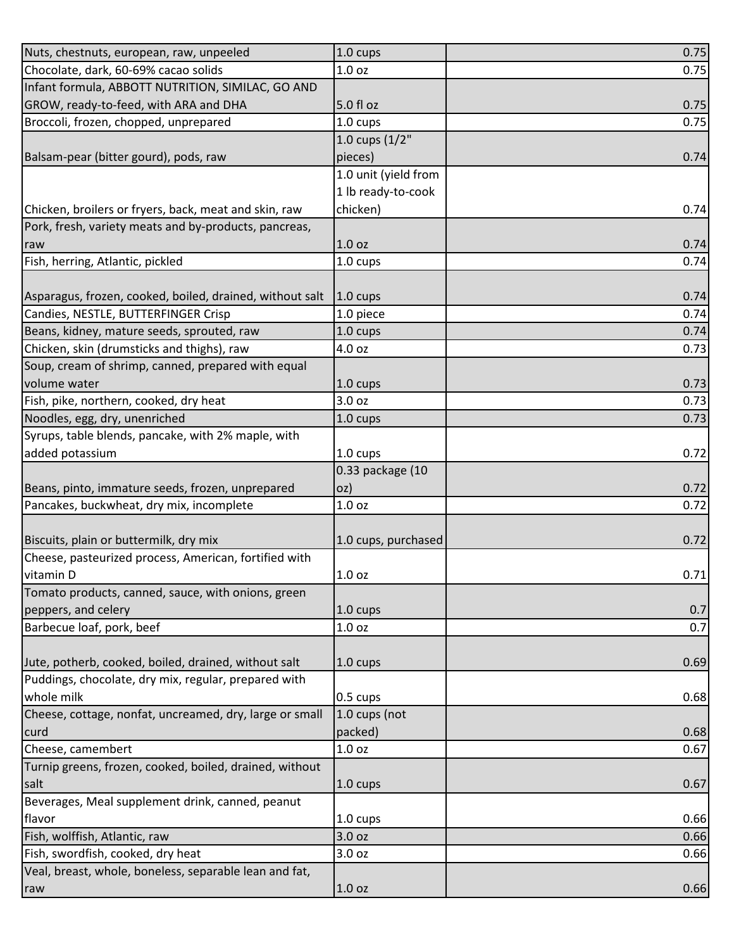| Nuts, chestnuts, european, raw, unpeeled                 | 1.0 cups             | 0.75 |
|----------------------------------------------------------|----------------------|------|
| Chocolate, dark, 60-69% cacao solids                     | 1.0 oz               | 0.75 |
| Infant formula, ABBOTT NUTRITION, SIMILAC, GO AND        |                      |      |
| GROW, ready-to-feed, with ARA and DHA                    | 5.0 fl oz            | 0.75 |
| Broccoli, frozen, chopped, unprepared                    | 1.0 cups             | 0.75 |
|                                                          | 1.0 cups $(1/2"$     |      |
| Balsam-pear (bitter gourd), pods, raw                    | pieces)              | 0.74 |
|                                                          | 1.0 unit (yield from |      |
|                                                          | 1 lb ready-to-cook   |      |
| Chicken, broilers or fryers, back, meat and skin, raw    | chicken)             | 0.74 |
| Pork, fresh, variety meats and by-products, pancreas,    |                      |      |
| raw                                                      | 1.0 <sub>oz</sub>    | 0.74 |
| Fish, herring, Atlantic, pickled                         | 1.0 cups             | 0.74 |
|                                                          |                      |      |
| Asparagus, frozen, cooked, boiled, drained, without salt | $1.0 \text{ cups}$   | 0.74 |
| Candies, NESTLE, BUTTERFINGER Crisp                      | 1.0 piece            | 0.74 |
| Beans, kidney, mature seeds, sprouted, raw               | 1.0 cups             | 0.74 |
| Chicken, skin (drumsticks and thighs), raw               | 4.0 oz               | 0.73 |
| Soup, cream of shrimp, canned, prepared with equal       |                      |      |
| volume water                                             | $1.0 \text{ cups}$   | 0.73 |
| Fish, pike, northern, cooked, dry heat                   | 3.0 oz               | 0.73 |
| Noodles, egg, dry, unenriched                            | $1.0 \text{ cups}$   | 0.73 |
| Syrups, table blends, pancake, with 2% maple, with       |                      |      |
| added potassium                                          | 1.0 cups             | 0.72 |
|                                                          | 0.33 package (10     |      |
| Beans, pinto, immature seeds, frozen, unprepared         | loz)                 | 0.72 |
| Pancakes, buckwheat, dry mix, incomplete                 | 1.0 <sub>oz</sub>    | 0.72 |
|                                                          |                      |      |
| Biscuits, plain or buttermilk, dry mix                   | 1.0 cups, purchased  | 0.72 |
| Cheese, pasteurized process, American, fortified with    |                      |      |
| vitamin D                                                | 1.0 oz               | 0.71 |
| Tomato products, canned, sauce, with onions, green       |                      |      |
| peppers, and celery                                      | $1.0 \text{ cups}$   | 0.7  |
| Barbecue loaf, pork, beef                                | 1.0 <sub>oz</sub>    | 0.7  |
|                                                          |                      |      |
| Jute, potherb, cooked, boiled, drained, without salt     | $1.0 \text{ cups}$   | 0.69 |
| Puddings, chocolate, dry mix, regular, prepared with     |                      |      |
| whole milk                                               | 0.5 cups             | 0.68 |
| Cheese, cottage, nonfat, uncreamed, dry, large or small  | 1.0 cups (not        |      |
| curd                                                     | packed)              | 0.68 |
| Cheese, camembert                                        | 1.0 oz               | 0.67 |
| Turnip greens, frozen, cooked, boiled, drained, without  |                      |      |
| salt                                                     | $1.0 \text{ cups}$   | 0.67 |
| Beverages, Meal supplement drink, canned, peanut         |                      |      |
| flavor                                                   | 1.0 cups             | 0.66 |
| Fish, wolffish, Atlantic, raw                            | 3.0 oz               | 0.66 |
| Fish, swordfish, cooked, dry heat                        | 3.0 oz               | 0.66 |
|                                                          |                      |      |
| Veal, breast, whole, boneless, separable lean and fat,   |                      |      |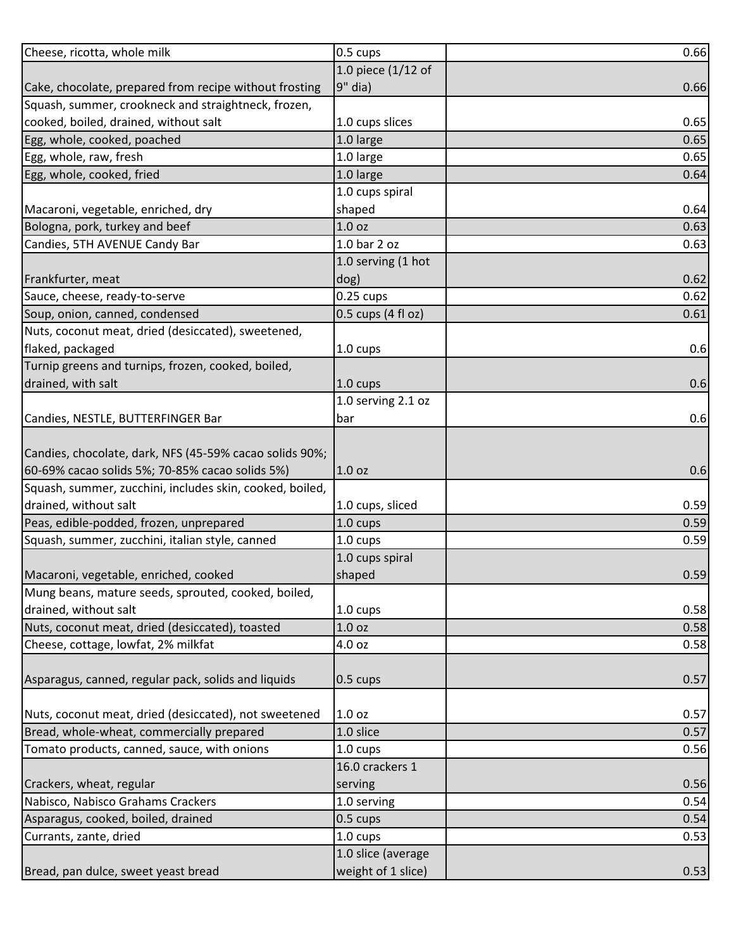| Cheese, ricotta, whole milk                              | 0.5 cups           | 0.66 |
|----------------------------------------------------------|--------------------|------|
|                                                          | 1.0 piece (1/12 of |      |
| Cake, chocolate, prepared from recipe without frosting   | $9"$ dia)          | 0.66 |
| Squash, summer, crookneck and straightneck, frozen,      |                    |      |
| cooked, boiled, drained, without salt                    | 1.0 cups slices    | 0.65 |
| Egg, whole, cooked, poached                              | 1.0 large          | 0.65 |
| Egg, whole, raw, fresh                                   | 1.0 large          | 0.65 |
| Egg, whole, cooked, fried                                | 1.0 large          | 0.64 |
|                                                          | 1.0 cups spiral    |      |
| Macaroni, vegetable, enriched, dry                       | shaped             | 0.64 |
| Bologna, pork, turkey and beef                           | 1.0 <sub>oz</sub>  | 0.63 |
| Candies, 5TH AVENUE Candy Bar                            | 1.0 bar 2 oz       | 0.63 |
|                                                          | 1.0 serving (1 hot |      |
| Frankfurter, meat                                        | dog)               | 0.62 |
| Sauce, cheese, ready-to-serve                            | $0.25$ cups        | 0.62 |
| Soup, onion, canned, condensed                           | 0.5 cups (4 fl oz) | 0.61 |
| Nuts, coconut meat, dried (desiccated), sweetened,       |                    |      |
| flaked, packaged                                         | 1.0 cups           | 0.6  |
| Turnip greens and turnips, frozen, cooked, boiled,       |                    |      |
| drained, with salt                                       | $1.0 \text{ cups}$ | 0.6  |
|                                                          | 1.0 serving 2.1 oz |      |
| Candies, NESTLE, BUTTERFINGER Bar                        | bar                | 0.6  |
|                                                          |                    |      |
| Candies, chocolate, dark, NFS (45-59% cacao solids 90%;  |                    |      |
| 60-69% cacao solids 5%; 70-85% cacao solids 5%)          | 1.0 oz             | 0.6  |
| Squash, summer, zucchini, includes skin, cooked, boiled, |                    |      |
| drained, without salt                                    | 1.0 cups, sliced   | 0.59 |
| Peas, edible-podded, frozen, unprepared                  | 1.0 cups           | 0.59 |
| Squash, summer, zucchini, italian style, canned          | 1.0 cups           | 0.59 |
|                                                          | 1.0 cups spiral    |      |
| Macaroni, vegetable, enriched, cooked                    | shaped             | 0.59 |
| Mung beans, mature seeds, sprouted, cooked, boiled,      |                    |      |
| drained, without salt                                    | 1.0 cups           | 0.58 |
| Nuts, coconut meat, dried (desiccated), toasted          | 1.0 <sub>oz</sub>  | 0.58 |
| Cheese, cottage, lowfat, 2% milkfat                      | 4.0 oz             | 0.58 |
|                                                          |                    |      |
| Asparagus, canned, regular pack, solids and liquids      | $0.5 \text{ cups}$ | 0.57 |
|                                                          |                    |      |
| Nuts, coconut meat, dried (desiccated), not sweetened    | 1.0 <sub>oz</sub>  | 0.57 |
| Bread, whole-wheat, commercially prepared                | 1.0 slice          | 0.57 |
| Tomato products, canned, sauce, with onions              | 1.0 cups           | 0.56 |
|                                                          | 16.0 crackers 1    |      |
| Crackers, wheat, regular                                 | serving            | 0.56 |
| Nabisco, Nabisco Grahams Crackers                        | 1.0 serving        | 0.54 |
| Asparagus, cooked, boiled, drained                       | 0.5 cups           | 0.54 |
| Currants, zante, dried                                   | 1.0 cups           | 0.53 |
|                                                          | 1.0 slice (average |      |
| Bread, pan dulce, sweet yeast bread                      | weight of 1 slice) | 0.53 |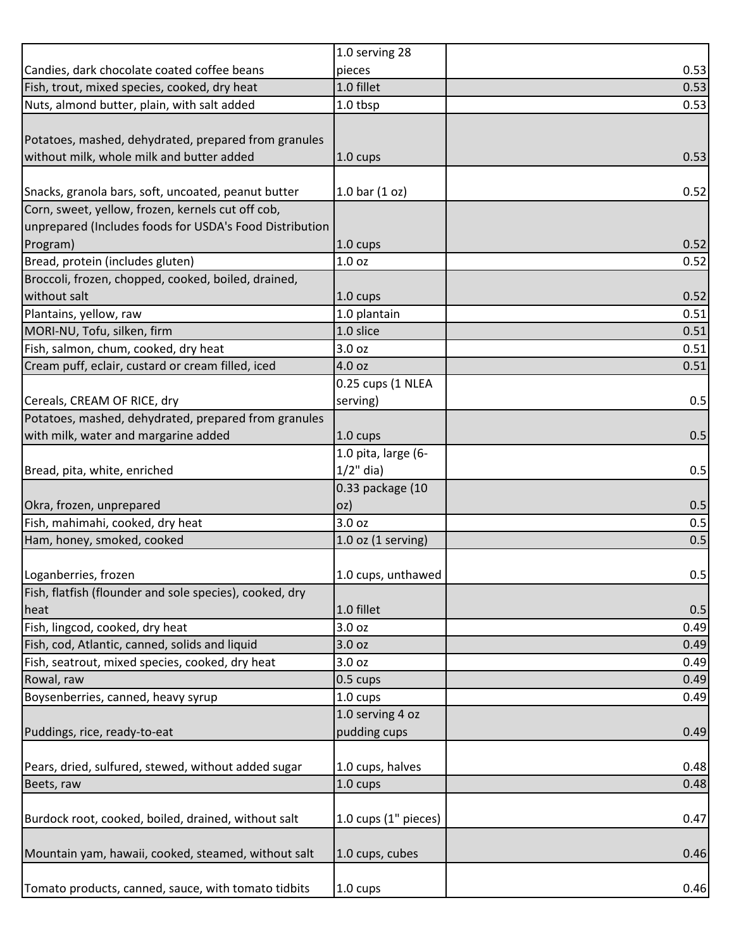|                                                         | 1.0 serving 28                        |      |
|---------------------------------------------------------|---------------------------------------|------|
| Candies, dark chocolate coated coffee beans             | pieces                                | 0.53 |
| Fish, trout, mixed species, cooked, dry heat            | 1.0 fillet                            | 0.53 |
| Nuts, almond butter, plain, with salt added             | 1.0 tbsp                              | 0.53 |
|                                                         |                                       |      |
| Potatoes, mashed, dehydrated, prepared from granules    |                                       |      |
| without milk, whole milk and butter added               | $1.0 \text{ cups}$                    | 0.53 |
|                                                         |                                       |      |
| Snacks, granola bars, soft, uncoated, peanut butter     | $1.0 \,\text{bar} \, (1 \,\text{oz})$ | 0.52 |
| Corn, sweet, yellow, frozen, kernels cut off cob,       |                                       |      |
| unprepared (Includes foods for USDA's Food Distribution |                                       |      |
| Program)                                                | $1.0 \text{ cups}$                    | 0.52 |
| Bread, protein (includes gluten)                        | 1.0 oz                                | 0.52 |
| Broccoli, frozen, chopped, cooked, boiled, drained,     |                                       |      |
| without salt                                            | $1.0 \text{ cups}$                    | 0.52 |
| Plantains, yellow, raw                                  | 1.0 plantain                          | 0.51 |
| MORI-NU, Tofu, silken, firm                             | 1.0 slice                             | 0.51 |
| Fish, salmon, chum, cooked, dry heat                    | 3.0 oz                                | 0.51 |
| Cream puff, eclair, custard or cream filled, iced       | 4.0 oz                                | 0.51 |
|                                                         | 0.25 cups (1 NLEA                     |      |
| Cereals, CREAM OF RICE, dry                             | serving)                              | 0.5  |
| Potatoes, mashed, dehydrated, prepared from granules    |                                       |      |
| with milk, water and margarine added                    | $1.0 \text{ cups}$                    | 0.5  |
|                                                         | 1.0 pita, large (6-                   |      |
| Bread, pita, white, enriched                            | $1/2$ " dia)                          | 0.5  |
|                                                         | 0.33 package (10                      |      |
| Okra, frozen, unprepared                                | oz)                                   | 0.5  |
| Fish, mahimahi, cooked, dry heat                        | 3.0 oz                                | 0.5  |
| Ham, honey, smoked, cooked                              | $1.0$ oz (1 serving)                  | 0.5  |
|                                                         |                                       |      |
| Loganberries, frozen                                    | 1.0 cups, unthawed                    | 0.5  |
| Fish, flatfish (flounder and sole species), cooked, dry |                                       |      |
| heat                                                    | 1.0 fillet                            | 0.5  |
| Fish, lingcod, cooked, dry heat                         | 3.0 oz                                | 0.49 |
| Fish, cod, Atlantic, canned, solids and liquid          | 3.0 oz                                | 0.49 |
| Fish, seatrout, mixed species, cooked, dry heat         | 3.0 oz                                | 0.49 |
| Rowal, raw                                              | 0.5 cups                              | 0.49 |
| Boysenberries, canned, heavy syrup                      | 1.0 cups                              | 0.49 |
|                                                         | 1.0 serving 4 oz                      |      |
| Puddings, rice, ready-to-eat                            | pudding cups                          | 0.49 |
|                                                         |                                       |      |
| Pears, dried, sulfured, stewed, without added sugar     | 1.0 cups, halves                      | 0.48 |
| Beets, raw                                              | 1.0 cups                              | 0.48 |
|                                                         |                                       |      |
| Burdock root, cooked, boiled, drained, without salt     | $1.0$ cups $(1"$ pieces)              | 0.47 |
|                                                         |                                       |      |
| Mountain yam, hawaii, cooked, steamed, without salt     | 1.0 cups, cubes                       | 0.46 |
|                                                         |                                       |      |
| Tomato products, canned, sauce, with tomato tidbits     | $1.0 \text{ cups}$                    | 0.46 |
|                                                         |                                       |      |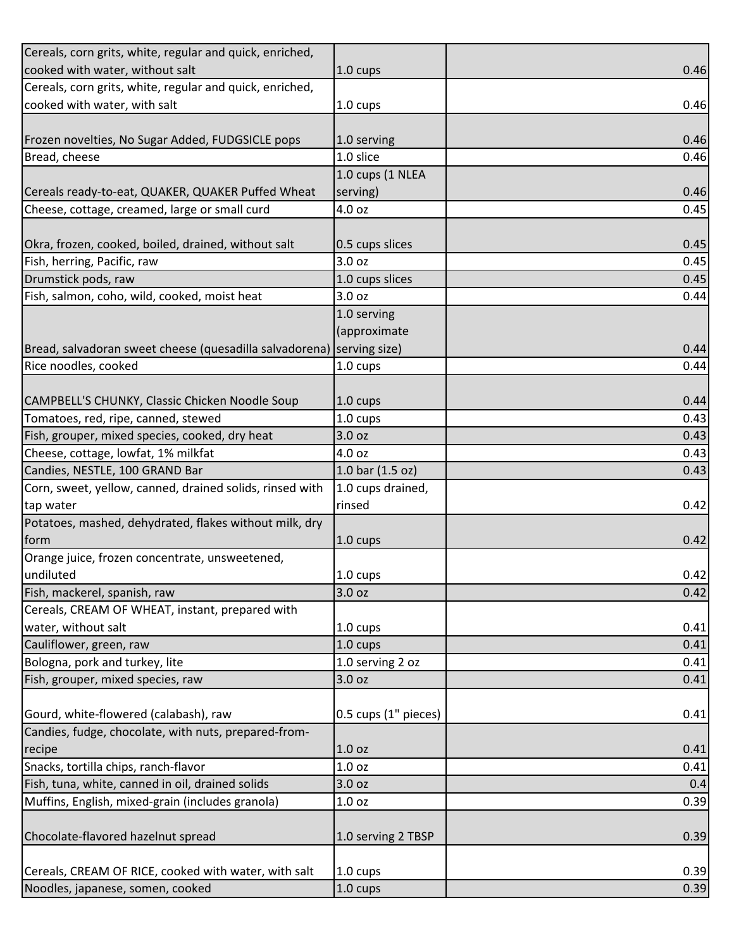| Cereals, corn grits, white, regular and quick, enriched,              |                      |      |
|-----------------------------------------------------------------------|----------------------|------|
| cooked with water, without salt                                       | 1.0 cups             | 0.46 |
| Cereals, corn grits, white, regular and quick, enriched,              |                      |      |
| cooked with water, with salt                                          | 1.0 cups             | 0.46 |
|                                                                       |                      |      |
| Frozen novelties, No Sugar Added, FUDGSICLE pops                      | 1.0 serving          | 0.46 |
| Bread, cheese                                                         | 1.0 slice            | 0.46 |
|                                                                       | 1.0 cups (1 NLEA     |      |
| Cereals ready-to-eat, QUAKER, QUAKER Puffed Wheat                     | serving)             | 0.46 |
| Cheese, cottage, creamed, large or small curd                         | 4.0 oz               | 0.45 |
|                                                                       |                      |      |
| Okra, frozen, cooked, boiled, drained, without salt                   | 0.5 cups slices      | 0.45 |
| Fish, herring, Pacific, raw                                           | 3.0 oz               | 0.45 |
| Drumstick pods, raw                                                   | 1.0 cups slices      | 0.45 |
| Fish, salmon, coho, wild, cooked, moist heat                          | 3.0 oz               | 0.44 |
|                                                                       | 1.0 serving          |      |
|                                                                       | (approximate         |      |
| Bread, salvadoran sweet cheese (quesadilla salvadorena) serving size) |                      | 0.44 |
| Rice noodles, cooked                                                  | 1.0 cups             | 0.44 |
|                                                                       |                      |      |
| CAMPBELL'S CHUNKY, Classic Chicken Noodle Soup                        | 1.0 cups             | 0.44 |
| Tomatoes, red, ripe, canned, stewed                                   | 1.0 cups             | 0.43 |
| Fish, grouper, mixed species, cooked, dry heat                        | 3.0 oz               | 0.43 |
| Cheese, cottage, lowfat, 1% milkfat                                   | 4.0 oz               | 0.43 |
| Candies, NESTLE, 100 GRAND Bar                                        | 1.0 bar $(1.5 oz)$   | 0.43 |
| Corn, sweet, yellow, canned, drained solids, rinsed with              | 1.0 cups drained,    |      |
| tap water                                                             | rinsed               | 0.42 |
| Potatoes, mashed, dehydrated, flakes without milk, dry                |                      |      |
| form                                                                  | $1.0 \text{ cups}$   | 0.42 |
| Orange juice, frozen concentrate, unsweetened,                        |                      |      |
| undiluted                                                             | 1.0 cups             | 0.42 |
| Fish, mackerel, spanish, raw                                          | 3.0 oz               | 0.42 |
| Cereals, CREAM OF WHEAT, instant, prepared with                       |                      |      |
| water, without salt                                                   | 1.0 cups             | 0.41 |
| Cauliflower, green, raw                                               | 1.0 cups             | 0.41 |
| Bologna, pork and turkey, lite                                        | 1.0 serving 2 oz     | 0.41 |
| Fish, grouper, mixed species, raw                                     | 3.0 oz               | 0.41 |
|                                                                       |                      |      |
| Gourd, white-flowered (calabash), raw                                 | 0.5 cups (1" pieces) | 0.41 |
| Candies, fudge, chocolate, with nuts, prepared-from-                  |                      |      |
| recipe                                                                | 1.0 <sub>oz</sub>    | 0.41 |
| Snacks, tortilla chips, ranch-flavor                                  | 1.0 <sub>oz</sub>    | 0.41 |
| Fish, tuna, white, canned in oil, drained solids                      | 3.0 oz               | 0.4  |
| Muffins, English, mixed-grain (includes granola)                      | 1.0 <sub>oz</sub>    | 0.39 |
|                                                                       |                      |      |
| Chocolate-flavored hazelnut spread                                    | 1.0 serving 2 TBSP   | 0.39 |
|                                                                       |                      |      |
| Cereals, CREAM OF RICE, cooked with water, with salt                  | 1.0 cups             | 0.39 |
| Noodles, japanese, somen, cooked                                      | 1.0 cups             | 0.39 |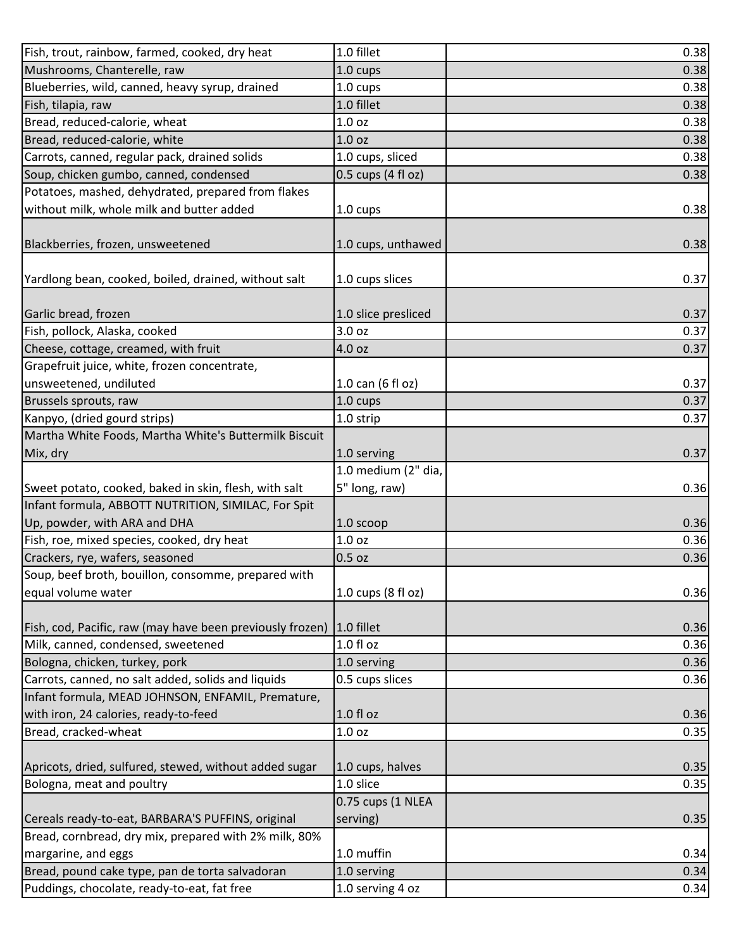| Fish, trout, rainbow, farmed, cooked, dry heat            | 1.0 fillet                     | 0.38 |
|-----------------------------------------------------------|--------------------------------|------|
| Mushrooms, Chanterelle, raw                               | 1.0 cups                       | 0.38 |
| Blueberries, wild, canned, heavy syrup, drained           | $1.0 \text{ cups}$             | 0.38 |
| Fish, tilapia, raw                                        | 1.0 fillet                     | 0.38 |
| Bread, reduced-calorie, wheat                             | 1.0 <sub>oz</sub>              | 0.38 |
| Bread, reduced-calorie, white                             | 1.0 <sub>oz</sub>              | 0.38 |
| Carrots, canned, regular pack, drained solids             | 1.0 cups, sliced               | 0.38 |
| Soup, chicken gumbo, canned, condensed                    | $0.5$ cups $(4 \text{ fl oz})$ | 0.38 |
| Potatoes, mashed, dehydrated, prepared from flakes        |                                |      |
| without milk, whole milk and butter added                 | 1.0 cups                       | 0.38 |
|                                                           |                                |      |
| Blackberries, frozen, unsweetened                         | 1.0 cups, unthawed             | 0.38 |
|                                                           |                                |      |
| Yardlong bean, cooked, boiled, drained, without salt      | 1.0 cups slices                | 0.37 |
|                                                           |                                |      |
| Garlic bread, frozen                                      | 1.0 slice presliced            | 0.37 |
| Fish, pollock, Alaska, cooked                             | 3.0 oz                         | 0.37 |
| Cheese, cottage, creamed, with fruit                      | 4.0 oz                         | 0.37 |
| Grapefruit juice, white, frozen concentrate,              |                                |      |
| unsweetened, undiluted                                    | 1.0 can (6 fl oz)              | 0.37 |
| Brussels sprouts, raw                                     | 1.0 cups                       | 0.37 |
| Kanpyo, (dried gourd strips)                              | 1.0 strip                      | 0.37 |
| Martha White Foods, Martha White's Buttermilk Biscuit     |                                |      |
| Mix, dry                                                  | 1.0 serving                    | 0.37 |
|                                                           | 1.0 medium (2" dia,            |      |
| Sweet potato, cooked, baked in skin, flesh, with salt     | 5" long, raw)                  | 0.36 |
| Infant formula, ABBOTT NUTRITION, SIMILAC, For Spit       |                                |      |
| Up, powder, with ARA and DHA                              | 1.0 scoop                      | 0.36 |
| Fish, roe, mixed species, cooked, dry heat                | 1.0 <sub>oz</sub>              | 0.36 |
| Crackers, rye, wafers, seasoned                           | $0.5$ oz                       | 0.36 |
| Soup, beef broth, bouillon, consomme, prepared with       |                                |      |
| equal volume water                                        | 1.0 cups (8 fl oz)             | 0.36 |
|                                                           |                                |      |
| Fish, cod, Pacific, raw (may have been previously frozen) | $1.0$ fillet                   | 0.36 |
| Milk, canned, condensed, sweetened                        | $1.0 f$ l oz                   | 0.36 |
| Bologna, chicken, turkey, pork                            | 1.0 serving                    | 0.36 |
| Carrots, canned, no salt added, solids and liquids        | 0.5 cups slices                | 0.36 |
| Infant formula, MEAD JOHNSON, ENFAMIL, Premature,         |                                |      |
| with iron, 24 calories, ready-to-feed                     | 1.0 fl oz                      | 0.36 |
| Bread, cracked-wheat                                      | 1.0 <sub>oz</sub>              | 0.35 |
|                                                           |                                |      |
| Apricots, dried, sulfured, stewed, without added sugar    | 1.0 cups, halves               | 0.35 |
| Bologna, meat and poultry                                 | 1.0 slice                      | 0.35 |
|                                                           | 0.75 cups (1 NLEA              |      |
| Cereals ready-to-eat, BARBARA'S PUFFINS, original         | serving)                       | 0.35 |
| Bread, cornbread, dry mix, prepared with 2% milk, 80%     |                                |      |
| margarine, and eggs                                       | 1.0 muffin                     | 0.34 |
| Bread, pound cake type, pan de torta salvadoran           | 1.0 serving                    | 0.34 |
| Puddings, chocolate, ready-to-eat, fat free               | 1.0 serving 4 oz               | 0.34 |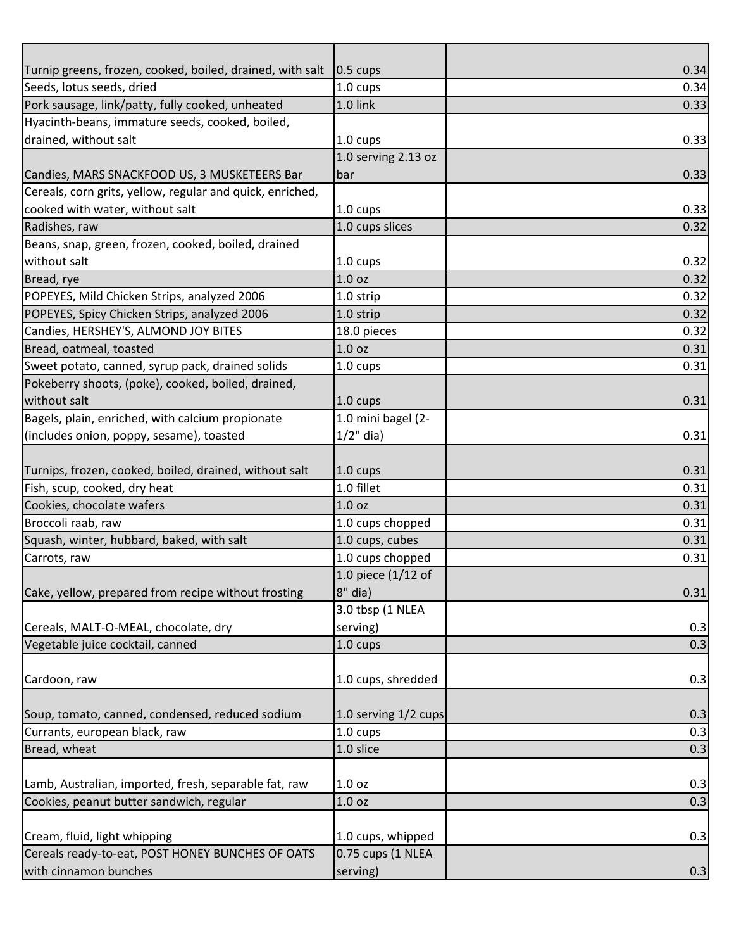| Seeds, lotus seeds, dried<br>0.34<br>1.0 cups<br>Pork sausage, link/patty, fully cooked, unheated<br>1.0 link<br>0.33<br>Hyacinth-beans, immature seeds, cooked, boiled,<br>1.0 cups<br>1.0 serving 2.13 oz<br>0.33<br>bar<br>$1.0 \text{ cups}$<br>1.0 cups slices<br>0.32<br>1.0 cups<br>1.0 <sub>oz</sub><br>0.32<br>0.32<br>1.0 strip<br>0.32<br>1.0 strip<br>0.32<br>18.0 pieces<br>1.0 <sub>oz</sub><br>0.31<br>1.0 cups<br>0.31<br>Pokeberry shoots, (poke), cooked, boiled, drained,<br>1.0 cups<br>1.0 mini bagel (2-<br>$1/2$ " dia)<br>0.31<br>0.31<br>$1.0 \text{ cups}$<br>1.0 fillet<br>0.31<br>1.0 <sub>oz</sub><br>0.31<br>1.0 cups chopped<br>0.31<br>1.0 cups, cubes<br>0.31<br>1.0 cups chopped<br>0.31<br>1.0 piece (1/12 of<br>$8"$ dia)<br>3.0 tbsp (1 NLEA<br>serving)<br>0.3<br>0.3<br>1.0 cups<br>1.0 cups, shredded<br>0.3<br>1.0 serving 1/2 cups<br>0.3<br>$1.0 \text{ cups}$<br>0.3<br>1.0 slice<br>0.3 |                                                           |                  |      |
|--------------------------------------------------------------------------------------------------------------------------------------------------------------------------------------------------------------------------------------------------------------------------------------------------------------------------------------------------------------------------------------------------------------------------------------------------------------------------------------------------------------------------------------------------------------------------------------------------------------------------------------------------------------------------------------------------------------------------------------------------------------------------------------------------------------------------------------------------------------------------------------------------------------------------------------|-----------------------------------------------------------|------------------|------|
|                                                                                                                                                                                                                                                                                                                                                                                                                                                                                                                                                                                                                                                                                                                                                                                                                                                                                                                                      | Turnip greens, frozen, cooked, boiled, drained, with salt | $\vert$ 0.5 cups | 0.34 |
| 0.33<br>0.33<br>0.32<br>0.31                                                                                                                                                                                                                                                                                                                                                                                                                                                                                                                                                                                                                                                                                                                                                                                                                                                                                                         |                                                           |                  |      |
|                                                                                                                                                                                                                                                                                                                                                                                                                                                                                                                                                                                                                                                                                                                                                                                                                                                                                                                                      |                                                           |                  |      |
|                                                                                                                                                                                                                                                                                                                                                                                                                                                                                                                                                                                                                                                                                                                                                                                                                                                                                                                                      |                                                           |                  |      |
|                                                                                                                                                                                                                                                                                                                                                                                                                                                                                                                                                                                                                                                                                                                                                                                                                                                                                                                                      | drained, without salt                                     |                  |      |
|                                                                                                                                                                                                                                                                                                                                                                                                                                                                                                                                                                                                                                                                                                                                                                                                                                                                                                                                      |                                                           |                  |      |
|                                                                                                                                                                                                                                                                                                                                                                                                                                                                                                                                                                                                                                                                                                                                                                                                                                                                                                                                      | Candies, MARS SNACKFOOD US, 3 MUSKETEERS Bar              |                  |      |
|                                                                                                                                                                                                                                                                                                                                                                                                                                                                                                                                                                                                                                                                                                                                                                                                                                                                                                                                      | Cereals, corn grits, yellow, regular and quick, enriched, |                  |      |
|                                                                                                                                                                                                                                                                                                                                                                                                                                                                                                                                                                                                                                                                                                                                                                                                                                                                                                                                      | cooked with water, without salt                           |                  |      |
|                                                                                                                                                                                                                                                                                                                                                                                                                                                                                                                                                                                                                                                                                                                                                                                                                                                                                                                                      | Radishes, raw                                             |                  |      |
|                                                                                                                                                                                                                                                                                                                                                                                                                                                                                                                                                                                                                                                                                                                                                                                                                                                                                                                                      | Beans, snap, green, frozen, cooked, boiled, drained       |                  |      |
|                                                                                                                                                                                                                                                                                                                                                                                                                                                                                                                                                                                                                                                                                                                                                                                                                                                                                                                                      | without salt                                              |                  |      |
|                                                                                                                                                                                                                                                                                                                                                                                                                                                                                                                                                                                                                                                                                                                                                                                                                                                                                                                                      | Bread, rye                                                |                  |      |
|                                                                                                                                                                                                                                                                                                                                                                                                                                                                                                                                                                                                                                                                                                                                                                                                                                                                                                                                      | POPEYES, Mild Chicken Strips, analyzed 2006               |                  |      |
|                                                                                                                                                                                                                                                                                                                                                                                                                                                                                                                                                                                                                                                                                                                                                                                                                                                                                                                                      | POPEYES, Spicy Chicken Strips, analyzed 2006              |                  |      |
|                                                                                                                                                                                                                                                                                                                                                                                                                                                                                                                                                                                                                                                                                                                                                                                                                                                                                                                                      | Candies, HERSHEY'S, ALMOND JOY BITES                      |                  |      |
|                                                                                                                                                                                                                                                                                                                                                                                                                                                                                                                                                                                                                                                                                                                                                                                                                                                                                                                                      | Bread, oatmeal, toasted                                   |                  |      |
|                                                                                                                                                                                                                                                                                                                                                                                                                                                                                                                                                                                                                                                                                                                                                                                                                                                                                                                                      | Sweet potato, canned, syrup pack, drained solids          |                  |      |
|                                                                                                                                                                                                                                                                                                                                                                                                                                                                                                                                                                                                                                                                                                                                                                                                                                                                                                                                      |                                                           |                  |      |
|                                                                                                                                                                                                                                                                                                                                                                                                                                                                                                                                                                                                                                                                                                                                                                                                                                                                                                                                      | without salt                                              |                  |      |
|                                                                                                                                                                                                                                                                                                                                                                                                                                                                                                                                                                                                                                                                                                                                                                                                                                                                                                                                      | Bagels, plain, enriched, with calcium propionate          |                  |      |
| 0.31                                                                                                                                                                                                                                                                                                                                                                                                                                                                                                                                                                                                                                                                                                                                                                                                                                                                                                                                 | (includes onion, poppy, sesame), toasted                  |                  |      |
|                                                                                                                                                                                                                                                                                                                                                                                                                                                                                                                                                                                                                                                                                                                                                                                                                                                                                                                                      |                                                           |                  |      |
|                                                                                                                                                                                                                                                                                                                                                                                                                                                                                                                                                                                                                                                                                                                                                                                                                                                                                                                                      | Turnips, frozen, cooked, boiled, drained, without salt    |                  |      |
|                                                                                                                                                                                                                                                                                                                                                                                                                                                                                                                                                                                                                                                                                                                                                                                                                                                                                                                                      | Fish, scup, cooked, dry heat                              |                  |      |
|                                                                                                                                                                                                                                                                                                                                                                                                                                                                                                                                                                                                                                                                                                                                                                                                                                                                                                                                      | Cookies, chocolate wafers                                 |                  |      |
|                                                                                                                                                                                                                                                                                                                                                                                                                                                                                                                                                                                                                                                                                                                                                                                                                                                                                                                                      | Broccoli raab, raw                                        |                  |      |
|                                                                                                                                                                                                                                                                                                                                                                                                                                                                                                                                                                                                                                                                                                                                                                                                                                                                                                                                      | Squash, winter, hubbard, baked, with salt                 |                  |      |
|                                                                                                                                                                                                                                                                                                                                                                                                                                                                                                                                                                                                                                                                                                                                                                                                                                                                                                                                      | Carrots, raw                                              |                  |      |
|                                                                                                                                                                                                                                                                                                                                                                                                                                                                                                                                                                                                                                                                                                                                                                                                                                                                                                                                      |                                                           |                  |      |
|                                                                                                                                                                                                                                                                                                                                                                                                                                                                                                                                                                                                                                                                                                                                                                                                                                                                                                                                      | Cake, yellow, prepared from recipe without frosting       |                  |      |
|                                                                                                                                                                                                                                                                                                                                                                                                                                                                                                                                                                                                                                                                                                                                                                                                                                                                                                                                      |                                                           |                  |      |
|                                                                                                                                                                                                                                                                                                                                                                                                                                                                                                                                                                                                                                                                                                                                                                                                                                                                                                                                      | Cereals, MALT-O-MEAL, chocolate, dry                      |                  |      |
|                                                                                                                                                                                                                                                                                                                                                                                                                                                                                                                                                                                                                                                                                                                                                                                                                                                                                                                                      | Vegetable juice cocktail, canned                          |                  |      |
|                                                                                                                                                                                                                                                                                                                                                                                                                                                                                                                                                                                                                                                                                                                                                                                                                                                                                                                                      |                                                           |                  |      |
|                                                                                                                                                                                                                                                                                                                                                                                                                                                                                                                                                                                                                                                                                                                                                                                                                                                                                                                                      | Cardoon, raw                                              |                  |      |
|                                                                                                                                                                                                                                                                                                                                                                                                                                                                                                                                                                                                                                                                                                                                                                                                                                                                                                                                      |                                                           |                  |      |
|                                                                                                                                                                                                                                                                                                                                                                                                                                                                                                                                                                                                                                                                                                                                                                                                                                                                                                                                      | Soup, tomato, canned, condensed, reduced sodium           |                  |      |
|                                                                                                                                                                                                                                                                                                                                                                                                                                                                                                                                                                                                                                                                                                                                                                                                                                                                                                                                      | Currants, european black, raw                             |                  |      |
|                                                                                                                                                                                                                                                                                                                                                                                                                                                                                                                                                                                                                                                                                                                                                                                                                                                                                                                                      | Bread, wheat                                              |                  |      |
|                                                                                                                                                                                                                                                                                                                                                                                                                                                                                                                                                                                                                                                                                                                                                                                                                                                                                                                                      |                                                           |                  |      |
| 0.3<br>1.0 <sub>oz</sub>                                                                                                                                                                                                                                                                                                                                                                                                                                                                                                                                                                                                                                                                                                                                                                                                                                                                                                             | Lamb, Australian, imported, fresh, separable fat, raw     |                  |      |
| 1.0 oz<br>0.3                                                                                                                                                                                                                                                                                                                                                                                                                                                                                                                                                                                                                                                                                                                                                                                                                                                                                                                        | Cookies, peanut butter sandwich, regular                  |                  |      |
|                                                                                                                                                                                                                                                                                                                                                                                                                                                                                                                                                                                                                                                                                                                                                                                                                                                                                                                                      |                                                           |                  |      |
| 1.0 cups, whipped<br>0.3                                                                                                                                                                                                                                                                                                                                                                                                                                                                                                                                                                                                                                                                                                                                                                                                                                                                                                             | Cream, fluid, light whipping                              |                  |      |
| 0.75 cups (1 NLEA                                                                                                                                                                                                                                                                                                                                                                                                                                                                                                                                                                                                                                                                                                                                                                                                                                                                                                                    | Cereals ready-to-eat, POST HONEY BUNCHES OF OATS          |                  |      |
| 0.3<br>serving)                                                                                                                                                                                                                                                                                                                                                                                                                                                                                                                                                                                                                                                                                                                                                                                                                                                                                                                      | with cinnamon bunches                                     |                  |      |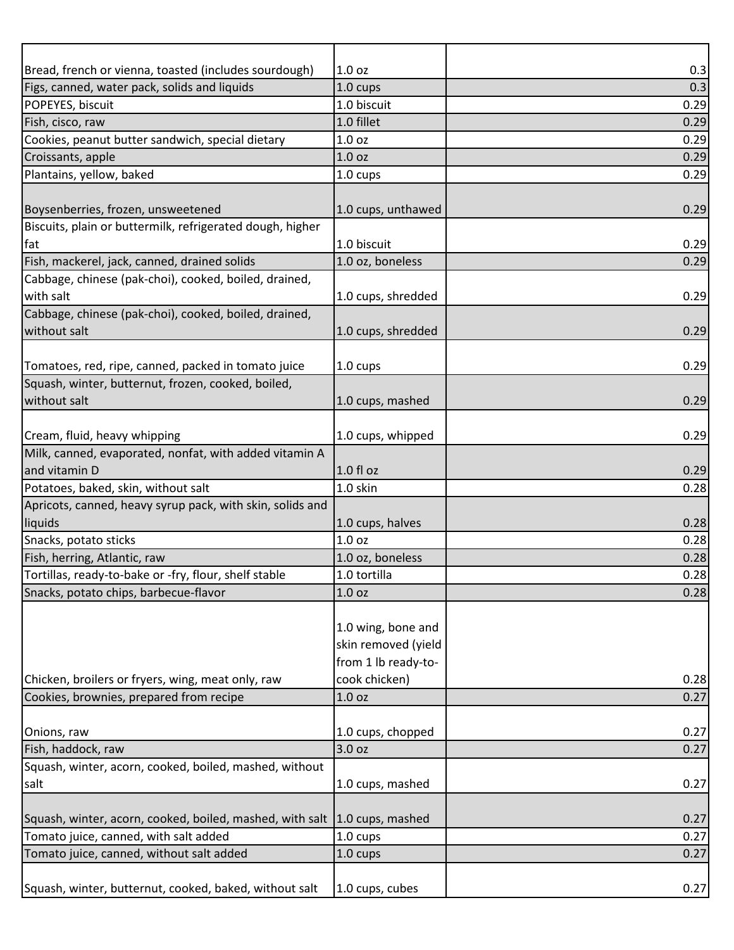| Bread, french or vienna, toasted (includes sourdough)                     | 1.0 <sub>oz</sub>   | 0.3  |
|---------------------------------------------------------------------------|---------------------|------|
| Figs, canned, water pack, solids and liquids                              | 1.0 cups            | 0.3  |
| POPEYES, biscuit                                                          | 1.0 biscuit         | 0.29 |
| Fish, cisco, raw                                                          | 1.0 fillet          | 0.29 |
| Cookies, peanut butter sandwich, special dietary                          | 1.0 <sub>oz</sub>   | 0.29 |
| Croissants, apple                                                         | 1.0 oz              | 0.29 |
| Plantains, yellow, baked                                                  | 1.0 cups            | 0.29 |
|                                                                           |                     |      |
| Boysenberries, frozen, unsweetened                                        | 1.0 cups, unthawed  | 0.29 |
| Biscuits, plain or buttermilk, refrigerated dough, higher                 |                     |      |
| fat                                                                       | 1.0 biscuit         | 0.29 |
| Fish, mackerel, jack, canned, drained solids                              | 1.0 oz, boneless    | 0.29 |
| Cabbage, chinese (pak-choi), cooked, boiled, drained,                     |                     |      |
| with salt                                                                 | 1.0 cups, shredded  | 0.29 |
| Cabbage, chinese (pak-choi), cooked, boiled, drained,                     |                     |      |
| without salt                                                              | 1.0 cups, shredded  | 0.29 |
|                                                                           |                     |      |
| Tomatoes, red, ripe, canned, packed in tomato juice                       | $1.0 \text{ cups}$  | 0.29 |
| Squash, winter, butternut, frozen, cooked, boiled,                        |                     |      |
| without salt                                                              | 1.0 cups, mashed    | 0.29 |
|                                                                           |                     |      |
| Cream, fluid, heavy whipping                                              | 1.0 cups, whipped   | 0.29 |
|                                                                           |                     |      |
| Milk, canned, evaporated, nonfat, with added vitamin A<br>and vitamin D   | $1.0 f$ l oz        | 0.29 |
|                                                                           | 1.0 skin            |      |
| Potatoes, baked, skin, without salt                                       |                     | 0.28 |
| Apricots, canned, heavy syrup pack, with skin, solids and                 |                     |      |
| liquids                                                                   | 1.0 cups, halves    | 0.28 |
| Snacks, potato sticks                                                     | 1.0 oz              | 0.28 |
| Fish, herring, Atlantic, raw                                              | 1.0 oz, boneless    | 0.28 |
| Tortillas, ready-to-bake or -fry, flour, shelf stable                     | 1.0 tortilla        | 0.28 |
| Snacks, potato chips, barbecue-flavor                                     | 1.0 <sub>oz</sub>   | 0.28 |
|                                                                           |                     |      |
|                                                                           | 1.0 wing, bone and  |      |
|                                                                           | skin removed (yield |      |
|                                                                           | from 1 lb ready-to- |      |
| Chicken, broilers or fryers, wing, meat only, raw                         | cook chicken)       | 0.28 |
| Cookies, brownies, prepared from recipe                                   | 1.0 <sub>oz</sub>   | 0.27 |
|                                                                           |                     |      |
| Onions, raw                                                               | 1.0 cups, chopped   | 0.27 |
| Fish, haddock, raw                                                        | 3.0 oz              | 0.27 |
| Squash, winter, acorn, cooked, boiled, mashed, without                    |                     |      |
| salt                                                                      | 1.0 cups, mashed    | 0.27 |
|                                                                           |                     |      |
| Squash, winter, acorn, cooked, boiled, mashed, with salt 1.0 cups, mashed |                     | 0.27 |
| Tomato juice, canned, with salt added                                     | 1.0 cups            | 0.27 |
| Tomato juice, canned, without salt added                                  | 1.0 cups            | 0.27 |
|                                                                           |                     |      |
| Squash, winter, butternut, cooked, baked, without salt                    | 1.0 cups, cubes     | 0.27 |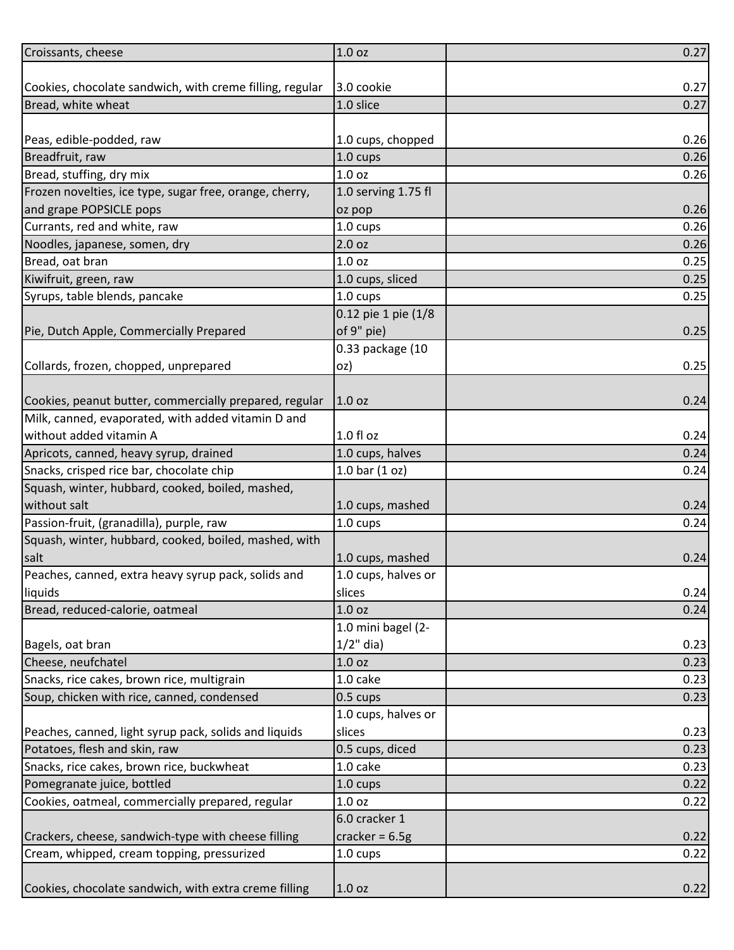| Croissants, cheese                                       | 1.0 <sub>oz</sub>   | 0.27 |
|----------------------------------------------------------|---------------------|------|
|                                                          |                     |      |
| Cookies, chocolate sandwich, with creme filling, regular | 3.0 cookie          | 0.27 |
| Bread, white wheat                                       | 1.0 slice           | 0.27 |
|                                                          |                     |      |
| Peas, edible-podded, raw                                 | 1.0 cups, chopped   | 0.26 |
| Breadfruit, raw                                          | 1.0 cups            | 0.26 |
| Bread, stuffing, dry mix                                 | 1.0 oz              | 0.26 |
| Frozen novelties, ice type, sugar free, orange, cherry,  | 1.0 serving 1.75 fl |      |
| and grape POPSICLE pops                                  | oz pop              | 0.26 |
| Currants, red and white, raw                             | 1.0 cups            | 0.26 |
| Noodles, japanese, somen, dry                            | 2.0 oz              | 0.26 |
| Bread, oat bran                                          | 1.0 <sub>oz</sub>   | 0.25 |
| Kiwifruit, green, raw                                    | 1.0 cups, sliced    | 0.25 |
| Syrups, table blends, pancake                            | 1.0 cups            | 0.25 |
|                                                          | 0.12 pie 1 pie (1/8 |      |
| Pie, Dutch Apple, Commercially Prepared                  | of 9" pie)          | 0.25 |
|                                                          | 0.33 package (10    |      |
| Collards, frozen, chopped, unprepared                    | oz)                 | 0.25 |
|                                                          |                     |      |
| Cookies, peanut butter, commercially prepared, regular   | 1.0 oz              | 0.24 |
| Milk, canned, evaporated, with added vitamin D and       |                     |      |
| without added vitamin A                                  | 1.0 fl oz           | 0.24 |
| Apricots, canned, heavy syrup, drained                   | 1.0 cups, halves    | 0.24 |
| Snacks, crisped rice bar, chocolate chip                 | 1.0 bar $(1 oz)$    | 0.24 |
| Squash, winter, hubbard, cooked, boiled, mashed,         |                     |      |
| without salt                                             | 1.0 cups, mashed    | 0.24 |
| Passion-fruit, (granadilla), purple, raw                 | 1.0 cups            | 0.24 |
| Squash, winter, hubbard, cooked, boiled, mashed, with    |                     |      |
| salt                                                     | 1.0 cups, mashed    | 0.24 |
| Peaches, canned, extra heavy syrup pack, solids and      | 1.0 cups, halves or |      |
| liquids                                                  | slices              | 0.24 |
| Bread, reduced-calorie, oatmeal                          | 1.0 oz              | 0.24 |
|                                                          | 1.0 mini bagel (2-  |      |
| Bagels, oat bran                                         | $1/2$ " dia)        | 0.23 |
| Cheese, neufchatel                                       | 1.0 oz              | 0.23 |
| Snacks, rice cakes, brown rice, multigrain               | 1.0 cake            | 0.23 |
| Soup, chicken with rice, canned, condensed               | 0.5 cups            | 0.23 |
|                                                          | 1.0 cups, halves or |      |
| Peaches, canned, light syrup pack, solids and liquids    | slices              | 0.23 |
| Potatoes, flesh and skin, raw                            | 0.5 cups, diced     | 0.23 |
| Snacks, rice cakes, brown rice, buckwheat                | 1.0 cake            | 0.23 |
| Pomegranate juice, bottled                               | 1.0 cups            | 0.22 |
| Cookies, oatmeal, commercially prepared, regular         | 1.0 oz              | 0.22 |
|                                                          | 6.0 cracker 1       |      |
| Crackers, cheese, sandwich-type with cheese filling      | cracker = $6.5g$    | 0.22 |
| Cream, whipped, cream topping, pressurized               | 1.0 cups            | 0.22 |
|                                                          |                     |      |
| Cookies, chocolate sandwich, with extra creme filling    | 1.0 <sub>oz</sub>   | 0.22 |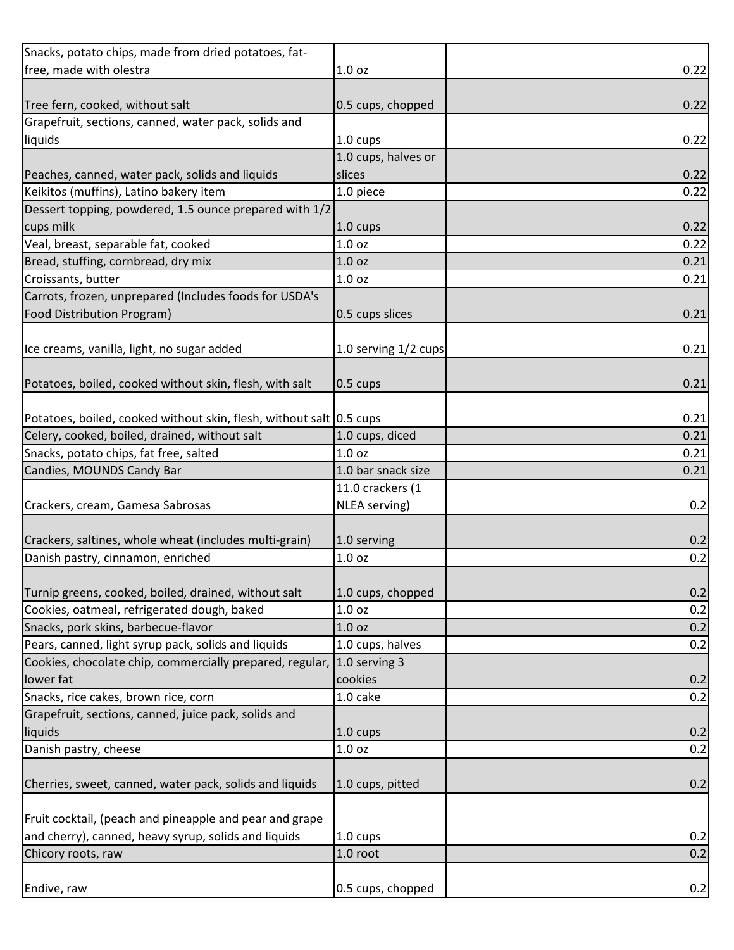| Snacks, potato chips, made from dried potatoes, fat-                   |                      |      |
|------------------------------------------------------------------------|----------------------|------|
| free, made with olestra                                                | 1.0 <sub>oz</sub>    | 0.22 |
|                                                                        |                      |      |
| Tree fern, cooked, without salt                                        | 0.5 cups, chopped    | 0.22 |
| Grapefruit, sections, canned, water pack, solids and                   |                      |      |
| liquids                                                                | 1.0 cups             | 0.22 |
|                                                                        | 1.0 cups, halves or  |      |
| Peaches, canned, water pack, solids and liquids                        | slices               | 0.22 |
| Keikitos (muffins), Latino bakery item                                 | 1.0 piece            | 0.22 |
| Dessert topping, powdered, 1.5 ounce prepared with 1/2                 |                      |      |
| cups milk                                                              | $1.0 \text{ cups}$   | 0.22 |
| Veal, breast, separable fat, cooked                                    | 1.0 oz               | 0.22 |
| Bread, stuffing, cornbread, dry mix                                    | 1.0 oz               | 0.21 |
| Croissants, butter                                                     | 1.0 oz               | 0.21 |
| Carrots, frozen, unprepared (Includes foods for USDA's                 |                      |      |
| Food Distribution Program)                                             | 0.5 cups slices      | 0.21 |
|                                                                        |                      |      |
| Ice creams, vanilla, light, no sugar added                             | 1.0 serving 1/2 cups | 0.21 |
|                                                                        |                      |      |
| Potatoes, boiled, cooked without skin, flesh, with salt                | $0.5 \text{ cups}$   | 0.21 |
|                                                                        |                      |      |
| Potatoes, boiled, cooked without skin, flesh, without salt 0.5 cups    |                      | 0.21 |
| Celery, cooked, boiled, drained, without salt                          | 1.0 cups, diced      | 0.21 |
| Snacks, potato chips, fat free, salted                                 | 1.0 oz               | 0.21 |
| Candies, MOUNDS Candy Bar                                              | 1.0 bar snack size   | 0.21 |
|                                                                        | 11.0 crackers (1     |      |
|                                                                        |                      |      |
| Crackers, cream, Gamesa Sabrosas                                       | NLEA serving)        | 0.2  |
|                                                                        |                      |      |
| Crackers, saltines, whole wheat (includes multi-grain)                 | 1.0 serving          | 0.2  |
| Danish pastry, cinnamon, enriched                                      | 1.0 <sub>oz</sub>    | 0.2  |
|                                                                        |                      |      |
| Turnip greens, cooked, boiled, drained, without salt                   | 1.0 cups, chopped    | 0.2  |
| Cookies, oatmeal, refrigerated dough, baked                            | 1.0 oz               | 0.2  |
| Snacks, pork skins, barbecue-flavor                                    | 1.0 <sub>oz</sub>    | 0.2  |
| Pears, canned, light syrup pack, solids and liquids                    | 1.0 cups, halves     | 0.2  |
| Cookies, chocolate chip, commercially prepared, regular, 1.0 serving 3 |                      |      |
| lower fat                                                              | cookies              | 0.2  |
| Snacks, rice cakes, brown rice, corn                                   | 1.0 cake             | 0.2  |
| Grapefruit, sections, canned, juice pack, solids and                   |                      |      |
| liquids                                                                | $1.0 \text{ cups}$   | 0.2  |
| Danish pastry, cheese                                                  | 1.0 oz               | 0.2  |
|                                                                        |                      |      |
| Cherries, sweet, canned, water pack, solids and liquids                | 1.0 cups, pitted     | 0.2  |
|                                                                        |                      |      |
| Fruit cocktail, (peach and pineapple and pear and grape                |                      |      |
| and cherry), canned, heavy syrup, solids and liquids                   | $1.0 \text{ cups}$   | 0.2  |
| Chicory roots, raw                                                     | 1.0 root             | 0.2  |
|                                                                        |                      |      |
| Endive, raw                                                            | 0.5 cups, chopped    | 0.2  |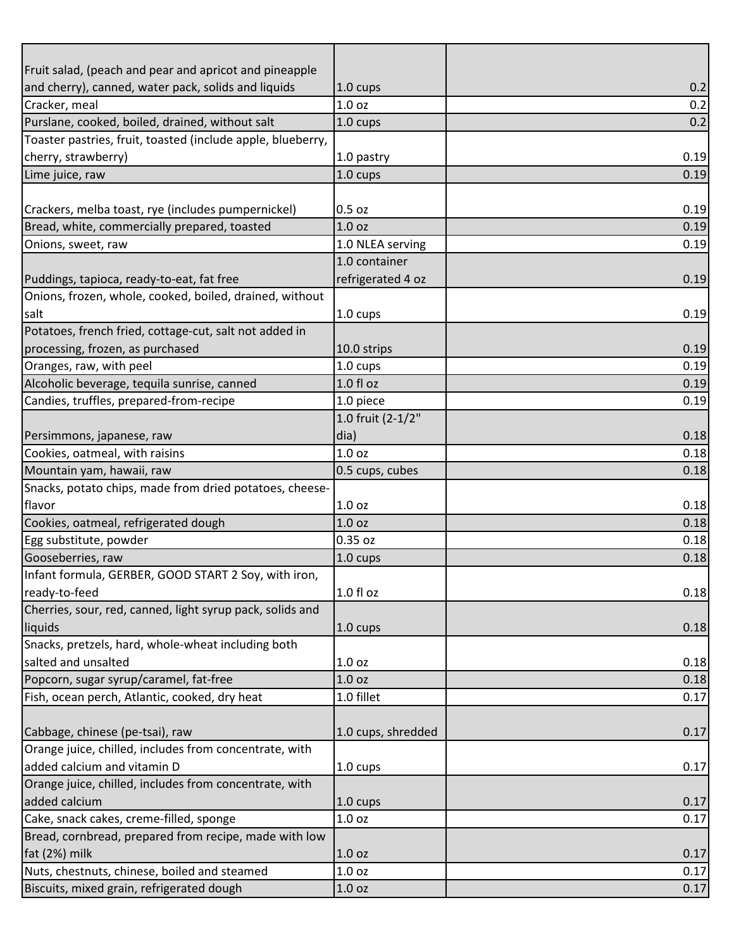| Fruit salad, (peach and pear and apricot and pineapple      |                    |      |
|-------------------------------------------------------------|--------------------|------|
| and cherry), canned, water pack, solids and liquids         | 1.0 cups           | 0.2  |
| Cracker, meal                                               | 1.0 oz             | 0.2  |
| Purslane, cooked, boiled, drained, without salt             | 1.0 cups           | 0.2  |
| Toaster pastries, fruit, toasted (include apple, blueberry, |                    |      |
| cherry, strawberry)                                         | 1.0 pastry         | 0.19 |
| Lime juice, raw                                             | 1.0 cups           | 0.19 |
|                                                             |                    |      |
| Crackers, melba toast, rye (includes pumpernickel)          | $0.5$ oz           | 0.19 |
| Bread, white, commercially prepared, toasted                | 1.0 <sub>oz</sub>  | 0.19 |
| Onions, sweet, raw                                          | 1.0 NLEA serving   | 0.19 |
|                                                             | 1.0 container      |      |
| Puddings, tapioca, ready-to-eat, fat free                   | refrigerated 4 oz  | 0.19 |
| Onions, frozen, whole, cooked, boiled, drained, without     |                    |      |
| salt                                                        | 1.0 cups           | 0.19 |
| Potatoes, french fried, cottage-cut, salt not added in      |                    |      |
| processing, frozen, as purchased                            | 10.0 strips        | 0.19 |
| Oranges, raw, with peel                                     | 1.0 cups           | 0.19 |
| Alcoholic beverage, tequila sunrise, canned                 | 1.0 fl oz          | 0.19 |
| Candies, truffles, prepared-from-recipe                     | 1.0 piece          | 0.19 |
|                                                             | 1.0 fruit (2-1/2"  |      |
| Persimmons, japanese, raw                                   | dia)               | 0.18 |
| Cookies, oatmeal, with raisins                              | 1.0 oz             | 0.18 |
| Mountain yam, hawaii, raw                                   | 0.5 cups, cubes    | 0.18 |
| Snacks, potato chips, made from dried potatoes, cheese-     |                    |      |
| flavor                                                      | 1.0 <sub>oz</sub>  | 0.18 |
| Cookies, oatmeal, refrigerated dough                        | 1.0 <sub>oz</sub>  | 0.18 |
| Egg substitute, powder                                      | 0.35 oz            | 0.18 |
| Gooseberries, raw                                           | 1.0 cups           | 0.18 |
| Infant formula, GERBER, GOOD START 2 Soy, with iron,        |                    |      |
| ready-to-feed                                               | 1.0 fl oz          | 0.18 |
| Cherries, sour, red, canned, light syrup pack, solids and   |                    |      |
| liquids                                                     | $1.0 \text{ cups}$ | 0.18 |
| Snacks, pretzels, hard, whole-wheat including both          |                    |      |
| salted and unsalted                                         | 1.0 oz             | 0.18 |
| Popcorn, sugar syrup/caramel, fat-free                      | 1.0 oz             | 0.18 |
| Fish, ocean perch, Atlantic, cooked, dry heat               | 1.0 fillet         | 0.17 |
|                                                             |                    |      |
| Cabbage, chinese (pe-tsai), raw                             | 1.0 cups, shredded | 0.17 |
| Orange juice, chilled, includes from concentrate, with      |                    |      |
| added calcium and vitamin D                                 | 1.0 cups           | 0.17 |
| Orange juice, chilled, includes from concentrate, with      |                    |      |
| added calcium                                               | $1.0 \text{ cups}$ | 0.17 |
| Cake, snack cakes, creme-filled, sponge                     | 1.0 oz             | 0.17 |
| Bread, cornbread, prepared from recipe, made with low       |                    |      |
| fat (2%) milk                                               | 1.0 <sub>oz</sub>  | 0.17 |
| Nuts, chestnuts, chinese, boiled and steamed                | 1.0 oz             | 0.17 |
| Biscuits, mixed grain, refrigerated dough                   | 1.0 oz             | 0.17 |
|                                                             |                    |      |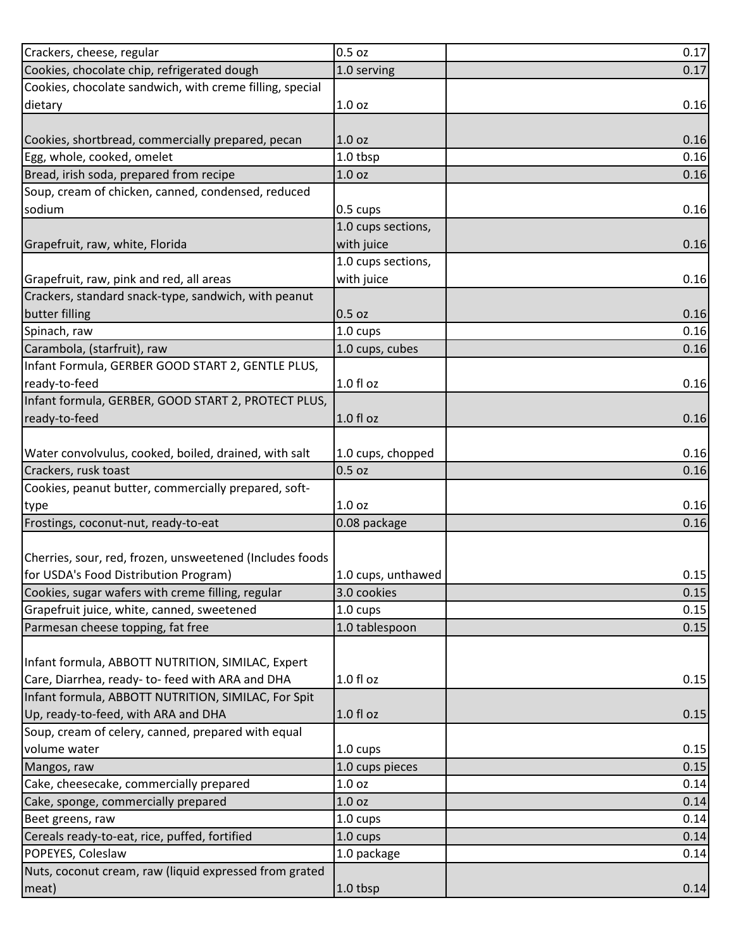| Crackers, cheese, regular                                                                         | 0.5 oz             | 0.17         |
|---------------------------------------------------------------------------------------------------|--------------------|--------------|
| Cookies, chocolate chip, refrigerated dough                                                       | 1.0 serving        | 0.17         |
| Cookies, chocolate sandwich, with creme filling, special                                          |                    |              |
| dietary                                                                                           | 1.0 <sub>oz</sub>  | 0.16         |
|                                                                                                   |                    |              |
| Cookies, shortbread, commercially prepared, pecan                                                 | 1.0 <sub>oz</sub>  | 0.16         |
| Egg, whole, cooked, omelet                                                                        | 1.0 tbsp           | 0.16         |
| Bread, irish soda, prepared from recipe                                                           | 1.0 <sub>oz</sub>  | 0.16         |
| Soup, cream of chicken, canned, condensed, reduced                                                |                    |              |
| sodium                                                                                            | $0.5$ cups         | 0.16         |
|                                                                                                   | 1.0 cups sections, |              |
| Grapefruit, raw, white, Florida                                                                   | with juice         | 0.16         |
|                                                                                                   | 1.0 cups sections, |              |
| Grapefruit, raw, pink and red, all areas                                                          | with juice         | 0.16         |
| Crackers, standard snack-type, sandwich, with peanut                                              |                    |              |
| butter filling                                                                                    | 0.5 oz             | 0.16         |
| Spinach, raw                                                                                      | 1.0 cups           | 0.16         |
| Carambola, (starfruit), raw                                                                       | 1.0 cups, cubes    | 0.16         |
| Infant Formula, GERBER GOOD START 2, GENTLE PLUS,                                                 |                    |              |
| ready-to-feed                                                                                     | $1.0 f$ l oz       | 0.16         |
| Infant formula, GERBER, GOOD START 2, PROTECT PLUS,                                               |                    |              |
| ready-to-feed                                                                                     | $1.0 f$ l oz       | 0.16         |
|                                                                                                   |                    |              |
| Water convolvulus, cooked, boiled, drained, with salt                                             | 1.0 cups, chopped  | 0.16         |
| Crackers, rusk toast                                                                              | 0.5 oz             | 0.16         |
|                                                                                                   |                    |              |
| Cookies, peanut butter, commercially prepared, soft-                                              |                    |              |
|                                                                                                   | 1.0 oz             | 0.16         |
| type<br>Frostings, coconut-nut, ready-to-eat                                                      | 0.08 package       | 0.16         |
|                                                                                                   |                    |              |
|                                                                                                   |                    |              |
| Cherries, sour, red, frozen, unsweetened (Includes foods<br>for USDA's Food Distribution Program) | 1.0 cups, unthawed |              |
| Cookies, sugar wafers with creme filling, regular                                                 | 3.0 cookies        | 0.15         |
| Grapefruit juice, white, canned, sweetened                                                        | 1.0 cups           | 0.15<br>0.15 |
| Parmesan cheese topping, fat free                                                                 | 1.0 tablespoon     | 0.15         |
|                                                                                                   |                    |              |
| Infant formula, ABBOTT NUTRITION, SIMILAC, Expert                                                 |                    |              |
| Care, Diarrhea, ready- to- feed with ARA and DHA                                                  | 1.0 fl oz          | 0.15         |
| Infant formula, ABBOTT NUTRITION, SIMILAC, For Spit                                               |                    |              |
| Up, ready-to-feed, with ARA and DHA                                                               | 1.0 fl oz          | 0.15         |
| Soup, cream of celery, canned, prepared with equal                                                |                    |              |
| volume water                                                                                      | 1.0 cups           | 0.15         |
| Mangos, raw                                                                                       | 1.0 cups pieces    | 0.15         |
| Cake, cheesecake, commercially prepared                                                           | 1.0 oz             | 0.14         |
| Cake, sponge, commercially prepared                                                               | 1.0 <sub>oz</sub>  | 0.14         |
| Beet greens, raw                                                                                  | 1.0 cups           | 0.14         |
| Cereals ready-to-eat, rice, puffed, fortified                                                     | 1.0 cups           | 0.14         |
| POPEYES, Coleslaw                                                                                 | 1.0 package        | 0.14         |
| Nuts, coconut cream, raw (liquid expressed from grated<br>meat)                                   | 1.0 tbsp           | 0.14         |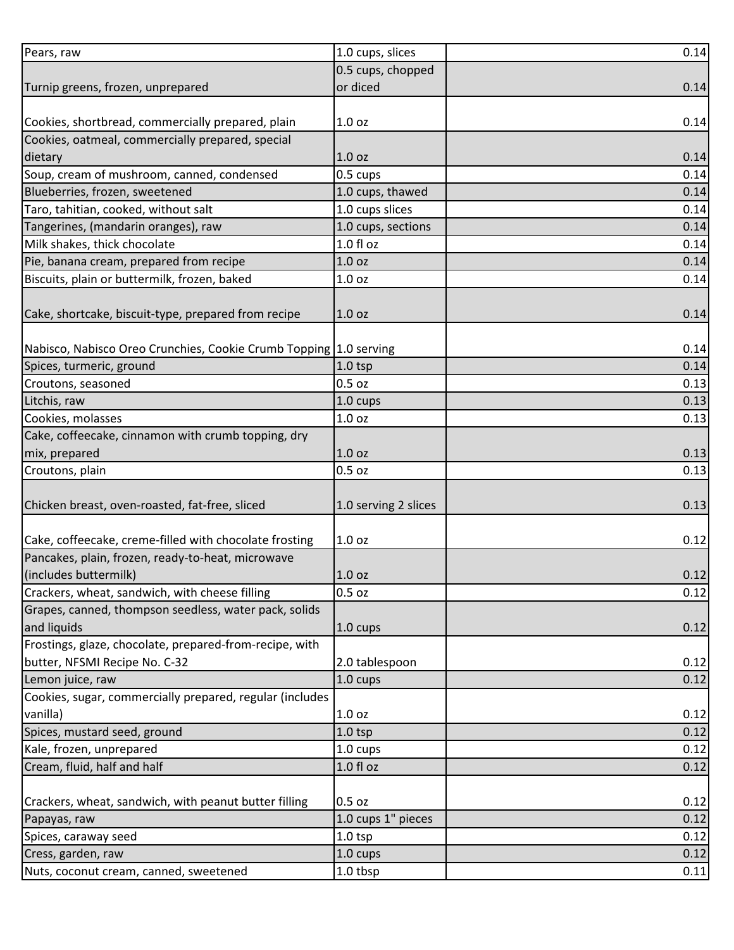| 0.5 cups, chopped<br>or diced<br>0.14<br>1.0 <sub>oz</sub><br>0.14<br>1.0 <sub>oz</sub><br>0.14<br>0.5 cups<br>0.14<br>Blueberries, frozen, sweetened<br>1.0 cups, thawed<br>0.14<br>1.0 cups slices<br>0.14<br>1.0 cups, sections<br>0.14<br>1.0 f1 oz<br>0.14<br>1.0 <sub>oz</sub><br>0.14<br>1.0 oz<br>0.14<br>0.14<br>1.0 <sub>oz</sub><br>Nabisco, Nabisco Oreo Crunchies, Cookie Crumb Topping 1.0 serving<br>0.14<br>$1.0$ tsp<br>0.14<br>$0.5$ oz<br>0.13<br>1.0 cups<br>0.13<br>1.0 <sub>oz</sub><br>0.13<br>1.0 <sub>oz</sub><br>0.13<br>0.5 oz<br>0.13<br>0.13<br>1.0 serving 2 slices<br>Cake, coffeecake, creme-filled with chocolate frosting<br>1.0 <sub>oz</sub><br>Pancakes, plain, frozen, ready-to-heat, microwave<br>(includes buttermilk)<br>1.0 <sub>oz</sub><br>Crackers, wheat, sandwich, with cheese filling<br>0.5 oz<br>Grapes, canned, thompson seedless, water pack, solids<br>and liquids<br>0.12<br>$1.0 \text{ cups}$<br>Frostings, glaze, chocolate, prepared-from-recipe, with<br>butter, NFSMI Recipe No. C-32<br>2.0 tablespoon<br>0.12<br>1.0 cups<br>0.12<br>Lemon juice, raw<br>Cookies, sugar, commercially prepared, regular (includes<br>vanilla)<br>1.0 <sub>oz</sub><br>Spices, mustard seed, ground<br>$1.0$ tsp<br>0.12<br>Kale, frozen, unprepared<br>1.0 cups<br>0.12<br>Cream, fluid, half and half<br>$1.0 f$ l oz<br>0.12<br>0.5 oz<br>1.0 cups 1" pieces<br>0.12<br>Papayas, raw<br>Spices, caraway seed<br>$1.0$ tsp<br>0.12<br>Cress, garden, raw<br>1.0 cups<br>0.12<br>1.0 tbsp<br>0.11 | Pears, raw                                            | 1.0 cups, slices | 0.14 |
|-------------------------------------------------------------------------------------------------------------------------------------------------------------------------------------------------------------------------------------------------------------------------------------------------------------------------------------------------------------------------------------------------------------------------------------------------------------------------------------------------------------------------------------------------------------------------------------------------------------------------------------------------------------------------------------------------------------------------------------------------------------------------------------------------------------------------------------------------------------------------------------------------------------------------------------------------------------------------------------------------------------------------------------------------------------------------------------------------------------------------------------------------------------------------------------------------------------------------------------------------------------------------------------------------------------------------------------------------------------------------------------------------------------------------------------------------------------------------------------------------------------------------------------------------|-------------------------------------------------------|------------------|------|
|                                                                                                                                                                                                                                                                                                                                                                                                                                                                                                                                                                                                                                                                                                                                                                                                                                                                                                                                                                                                                                                                                                                                                                                                                                                                                                                                                                                                                                                                                                                                                 |                                                       |                  |      |
|                                                                                                                                                                                                                                                                                                                                                                                                                                                                                                                                                                                                                                                                                                                                                                                                                                                                                                                                                                                                                                                                                                                                                                                                                                                                                                                                                                                                                                                                                                                                                 | Turnip greens, frozen, unprepared                     |                  |      |
|                                                                                                                                                                                                                                                                                                                                                                                                                                                                                                                                                                                                                                                                                                                                                                                                                                                                                                                                                                                                                                                                                                                                                                                                                                                                                                                                                                                                                                                                                                                                                 |                                                       |                  |      |
|                                                                                                                                                                                                                                                                                                                                                                                                                                                                                                                                                                                                                                                                                                                                                                                                                                                                                                                                                                                                                                                                                                                                                                                                                                                                                                                                                                                                                                                                                                                                                 | Cookies, shortbread, commercially prepared, plain     |                  |      |
|                                                                                                                                                                                                                                                                                                                                                                                                                                                                                                                                                                                                                                                                                                                                                                                                                                                                                                                                                                                                                                                                                                                                                                                                                                                                                                                                                                                                                                                                                                                                                 | Cookies, oatmeal, commercially prepared, special      |                  |      |
|                                                                                                                                                                                                                                                                                                                                                                                                                                                                                                                                                                                                                                                                                                                                                                                                                                                                                                                                                                                                                                                                                                                                                                                                                                                                                                                                                                                                                                                                                                                                                 | dietary                                               |                  |      |
|                                                                                                                                                                                                                                                                                                                                                                                                                                                                                                                                                                                                                                                                                                                                                                                                                                                                                                                                                                                                                                                                                                                                                                                                                                                                                                                                                                                                                                                                                                                                                 | Soup, cream of mushroom, canned, condensed            |                  |      |
|                                                                                                                                                                                                                                                                                                                                                                                                                                                                                                                                                                                                                                                                                                                                                                                                                                                                                                                                                                                                                                                                                                                                                                                                                                                                                                                                                                                                                                                                                                                                                 |                                                       |                  |      |
|                                                                                                                                                                                                                                                                                                                                                                                                                                                                                                                                                                                                                                                                                                                                                                                                                                                                                                                                                                                                                                                                                                                                                                                                                                                                                                                                                                                                                                                                                                                                                 | Taro, tahitian, cooked, without salt                  |                  |      |
|                                                                                                                                                                                                                                                                                                                                                                                                                                                                                                                                                                                                                                                                                                                                                                                                                                                                                                                                                                                                                                                                                                                                                                                                                                                                                                                                                                                                                                                                                                                                                 | Tangerines, (mandarin oranges), raw                   |                  |      |
|                                                                                                                                                                                                                                                                                                                                                                                                                                                                                                                                                                                                                                                                                                                                                                                                                                                                                                                                                                                                                                                                                                                                                                                                                                                                                                                                                                                                                                                                                                                                                 | Milk shakes, thick chocolate                          |                  |      |
|                                                                                                                                                                                                                                                                                                                                                                                                                                                                                                                                                                                                                                                                                                                                                                                                                                                                                                                                                                                                                                                                                                                                                                                                                                                                                                                                                                                                                                                                                                                                                 | Pie, banana cream, prepared from recipe               |                  |      |
|                                                                                                                                                                                                                                                                                                                                                                                                                                                                                                                                                                                                                                                                                                                                                                                                                                                                                                                                                                                                                                                                                                                                                                                                                                                                                                                                                                                                                                                                                                                                                 | Biscuits, plain or buttermilk, frozen, baked          |                  |      |
|                                                                                                                                                                                                                                                                                                                                                                                                                                                                                                                                                                                                                                                                                                                                                                                                                                                                                                                                                                                                                                                                                                                                                                                                                                                                                                                                                                                                                                                                                                                                                 | Cake, shortcake, biscuit-type, prepared from recipe   |                  |      |
|                                                                                                                                                                                                                                                                                                                                                                                                                                                                                                                                                                                                                                                                                                                                                                                                                                                                                                                                                                                                                                                                                                                                                                                                                                                                                                                                                                                                                                                                                                                                                 |                                                       |                  |      |
|                                                                                                                                                                                                                                                                                                                                                                                                                                                                                                                                                                                                                                                                                                                                                                                                                                                                                                                                                                                                                                                                                                                                                                                                                                                                                                                                                                                                                                                                                                                                                 | Spices, turmeric, ground                              |                  |      |
|                                                                                                                                                                                                                                                                                                                                                                                                                                                                                                                                                                                                                                                                                                                                                                                                                                                                                                                                                                                                                                                                                                                                                                                                                                                                                                                                                                                                                                                                                                                                                 | Croutons, seasoned                                    |                  |      |
|                                                                                                                                                                                                                                                                                                                                                                                                                                                                                                                                                                                                                                                                                                                                                                                                                                                                                                                                                                                                                                                                                                                                                                                                                                                                                                                                                                                                                                                                                                                                                 | Litchis, raw                                          |                  |      |
|                                                                                                                                                                                                                                                                                                                                                                                                                                                                                                                                                                                                                                                                                                                                                                                                                                                                                                                                                                                                                                                                                                                                                                                                                                                                                                                                                                                                                                                                                                                                                 | Cookies, molasses                                     |                  |      |
|                                                                                                                                                                                                                                                                                                                                                                                                                                                                                                                                                                                                                                                                                                                                                                                                                                                                                                                                                                                                                                                                                                                                                                                                                                                                                                                                                                                                                                                                                                                                                 | Cake, coffeecake, cinnamon with crumb topping, dry    |                  |      |
|                                                                                                                                                                                                                                                                                                                                                                                                                                                                                                                                                                                                                                                                                                                                                                                                                                                                                                                                                                                                                                                                                                                                                                                                                                                                                                                                                                                                                                                                                                                                                 | mix, prepared                                         |                  |      |
| 0.12<br>0.12<br>0.12<br>0.12<br>0.12                                                                                                                                                                                                                                                                                                                                                                                                                                                                                                                                                                                                                                                                                                                                                                                                                                                                                                                                                                                                                                                                                                                                                                                                                                                                                                                                                                                                                                                                                                            | Croutons, plain                                       |                  |      |
|                                                                                                                                                                                                                                                                                                                                                                                                                                                                                                                                                                                                                                                                                                                                                                                                                                                                                                                                                                                                                                                                                                                                                                                                                                                                                                                                                                                                                                                                                                                                                 | Chicken breast, oven-roasted, fat-free, sliced        |                  |      |
|                                                                                                                                                                                                                                                                                                                                                                                                                                                                                                                                                                                                                                                                                                                                                                                                                                                                                                                                                                                                                                                                                                                                                                                                                                                                                                                                                                                                                                                                                                                                                 |                                                       |                  |      |
|                                                                                                                                                                                                                                                                                                                                                                                                                                                                                                                                                                                                                                                                                                                                                                                                                                                                                                                                                                                                                                                                                                                                                                                                                                                                                                                                                                                                                                                                                                                                                 |                                                       |                  |      |
|                                                                                                                                                                                                                                                                                                                                                                                                                                                                                                                                                                                                                                                                                                                                                                                                                                                                                                                                                                                                                                                                                                                                                                                                                                                                                                                                                                                                                                                                                                                                                 |                                                       |                  |      |
|                                                                                                                                                                                                                                                                                                                                                                                                                                                                                                                                                                                                                                                                                                                                                                                                                                                                                                                                                                                                                                                                                                                                                                                                                                                                                                                                                                                                                                                                                                                                                 |                                                       |                  |      |
|                                                                                                                                                                                                                                                                                                                                                                                                                                                                                                                                                                                                                                                                                                                                                                                                                                                                                                                                                                                                                                                                                                                                                                                                                                                                                                                                                                                                                                                                                                                                                 |                                                       |                  |      |
|                                                                                                                                                                                                                                                                                                                                                                                                                                                                                                                                                                                                                                                                                                                                                                                                                                                                                                                                                                                                                                                                                                                                                                                                                                                                                                                                                                                                                                                                                                                                                 |                                                       |                  |      |
|                                                                                                                                                                                                                                                                                                                                                                                                                                                                                                                                                                                                                                                                                                                                                                                                                                                                                                                                                                                                                                                                                                                                                                                                                                                                                                                                                                                                                                                                                                                                                 |                                                       |                  |      |
|                                                                                                                                                                                                                                                                                                                                                                                                                                                                                                                                                                                                                                                                                                                                                                                                                                                                                                                                                                                                                                                                                                                                                                                                                                                                                                                                                                                                                                                                                                                                                 |                                                       |                  |      |
|                                                                                                                                                                                                                                                                                                                                                                                                                                                                                                                                                                                                                                                                                                                                                                                                                                                                                                                                                                                                                                                                                                                                                                                                                                                                                                                                                                                                                                                                                                                                                 |                                                       |                  |      |
|                                                                                                                                                                                                                                                                                                                                                                                                                                                                                                                                                                                                                                                                                                                                                                                                                                                                                                                                                                                                                                                                                                                                                                                                                                                                                                                                                                                                                                                                                                                                                 |                                                       |                  |      |
|                                                                                                                                                                                                                                                                                                                                                                                                                                                                                                                                                                                                                                                                                                                                                                                                                                                                                                                                                                                                                                                                                                                                                                                                                                                                                                                                                                                                                                                                                                                                                 |                                                       |                  |      |
|                                                                                                                                                                                                                                                                                                                                                                                                                                                                                                                                                                                                                                                                                                                                                                                                                                                                                                                                                                                                                                                                                                                                                                                                                                                                                                                                                                                                                                                                                                                                                 |                                                       |                  |      |
|                                                                                                                                                                                                                                                                                                                                                                                                                                                                                                                                                                                                                                                                                                                                                                                                                                                                                                                                                                                                                                                                                                                                                                                                                                                                                                                                                                                                                                                                                                                                                 |                                                       |                  |      |
|                                                                                                                                                                                                                                                                                                                                                                                                                                                                                                                                                                                                                                                                                                                                                                                                                                                                                                                                                                                                                                                                                                                                                                                                                                                                                                                                                                                                                                                                                                                                                 |                                                       |                  |      |
|                                                                                                                                                                                                                                                                                                                                                                                                                                                                                                                                                                                                                                                                                                                                                                                                                                                                                                                                                                                                                                                                                                                                                                                                                                                                                                                                                                                                                                                                                                                                                 |                                                       |                  |      |
|                                                                                                                                                                                                                                                                                                                                                                                                                                                                                                                                                                                                                                                                                                                                                                                                                                                                                                                                                                                                                                                                                                                                                                                                                                                                                                                                                                                                                                                                                                                                                 | Crackers, wheat, sandwich, with peanut butter filling |                  |      |
|                                                                                                                                                                                                                                                                                                                                                                                                                                                                                                                                                                                                                                                                                                                                                                                                                                                                                                                                                                                                                                                                                                                                                                                                                                                                                                                                                                                                                                                                                                                                                 |                                                       |                  |      |
|                                                                                                                                                                                                                                                                                                                                                                                                                                                                                                                                                                                                                                                                                                                                                                                                                                                                                                                                                                                                                                                                                                                                                                                                                                                                                                                                                                                                                                                                                                                                                 |                                                       |                  |      |
|                                                                                                                                                                                                                                                                                                                                                                                                                                                                                                                                                                                                                                                                                                                                                                                                                                                                                                                                                                                                                                                                                                                                                                                                                                                                                                                                                                                                                                                                                                                                                 |                                                       |                  |      |
|                                                                                                                                                                                                                                                                                                                                                                                                                                                                                                                                                                                                                                                                                                                                                                                                                                                                                                                                                                                                                                                                                                                                                                                                                                                                                                                                                                                                                                                                                                                                                 | Nuts, coconut cream, canned, sweetened                |                  |      |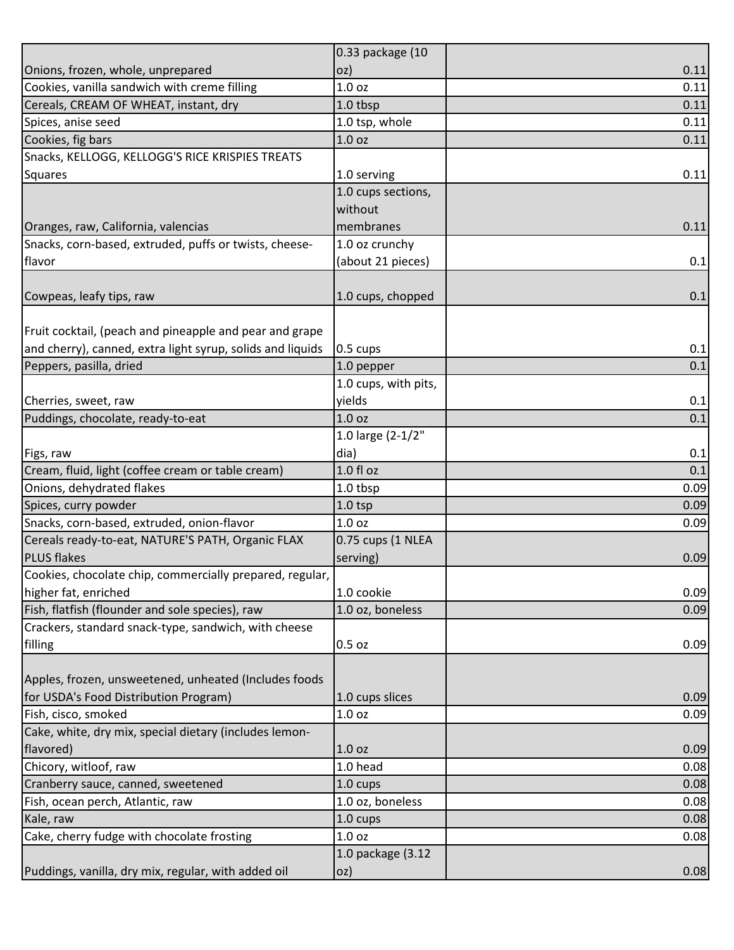| 0.11<br>OZ)<br>$1.0$ oz<br>0.11<br>1.0 tbsp<br>0.11<br>1.0 tsp, whole<br>0.11<br>1.0 oz<br>0.11<br>1.0 serving<br>0.11<br>1.0 cups sections,<br>without<br>membranes<br>0.11<br>1.0 oz crunchy<br>(about 21 pieces)<br>0.1<br>1.0 cups, chopped<br>0.1<br>0.1<br>0.5 cups<br>1.0 pepper<br>0.1<br>1.0 cups, with pits,<br>yields<br>0.1<br>1.0 oz<br>0.1<br>1.0 large (2-1/2"<br>dia)<br>0.1<br>1.0 fl oz<br>0.1<br>1.0 tbsp<br>0.09<br>$1.0$ tsp<br>0.09<br>Snacks, corn-based, extruded, onion-flavor<br>1.0 <sub>oz</sub><br>0.09<br>0.75 cups (1 NLEA<br>serving)<br>0.09<br>1.0 cookie<br>0.09<br>1.0 oz, boneless<br>0.09<br>0.5 oz<br>0.09<br>1.0 cups slices<br>0.09<br>1.0 oz<br>0.09<br>1.0 <sub>oz</sub><br>0.09<br>1.0 head<br>0.08<br>1.0 cups<br>0.08<br>1.0 oz, boneless<br>0.08<br>1.0 cups<br>0.08<br>1.0 oz<br>0.08<br>1.0 package (3.12 |                                                            | 0.33 package (10 |  |
|------------------------------------------------------------------------------------------------------------------------------------------------------------------------------------------------------------------------------------------------------------------------------------------------------------------------------------------------------------------------------------------------------------------------------------------------------------------------------------------------------------------------------------------------------------------------------------------------------------------------------------------------------------------------------------------------------------------------------------------------------------------------------------------------------------------------------------------------------------|------------------------------------------------------------|------------------|--|
|                                                                                                                                                                                                                                                                                                                                                                                                                                                                                                                                                                                                                                                                                                                                                                                                                                                            | Onions, frozen, whole, unprepared                          |                  |  |
|                                                                                                                                                                                                                                                                                                                                                                                                                                                                                                                                                                                                                                                                                                                                                                                                                                                            | Cookies, vanilla sandwich with creme filling               |                  |  |
|                                                                                                                                                                                                                                                                                                                                                                                                                                                                                                                                                                                                                                                                                                                                                                                                                                                            | Cereals, CREAM OF WHEAT, instant, dry                      |                  |  |
|                                                                                                                                                                                                                                                                                                                                                                                                                                                                                                                                                                                                                                                                                                                                                                                                                                                            | Spices, anise seed                                         |                  |  |
|                                                                                                                                                                                                                                                                                                                                                                                                                                                                                                                                                                                                                                                                                                                                                                                                                                                            | Cookies, fig bars                                          |                  |  |
|                                                                                                                                                                                                                                                                                                                                                                                                                                                                                                                                                                                                                                                                                                                                                                                                                                                            | Snacks, KELLOGG, KELLOGG'S RICE KRISPIES TREATS            |                  |  |
|                                                                                                                                                                                                                                                                                                                                                                                                                                                                                                                                                                                                                                                                                                                                                                                                                                                            | <b>Squares</b>                                             |                  |  |
|                                                                                                                                                                                                                                                                                                                                                                                                                                                                                                                                                                                                                                                                                                                                                                                                                                                            |                                                            |                  |  |
|                                                                                                                                                                                                                                                                                                                                                                                                                                                                                                                                                                                                                                                                                                                                                                                                                                                            |                                                            |                  |  |
|                                                                                                                                                                                                                                                                                                                                                                                                                                                                                                                                                                                                                                                                                                                                                                                                                                                            | Oranges, raw, California, valencias                        |                  |  |
|                                                                                                                                                                                                                                                                                                                                                                                                                                                                                                                                                                                                                                                                                                                                                                                                                                                            | Snacks, corn-based, extruded, puffs or twists, cheese-     |                  |  |
|                                                                                                                                                                                                                                                                                                                                                                                                                                                                                                                                                                                                                                                                                                                                                                                                                                                            | flavor                                                     |                  |  |
|                                                                                                                                                                                                                                                                                                                                                                                                                                                                                                                                                                                                                                                                                                                                                                                                                                                            |                                                            |                  |  |
|                                                                                                                                                                                                                                                                                                                                                                                                                                                                                                                                                                                                                                                                                                                                                                                                                                                            | Cowpeas, leafy tips, raw                                   |                  |  |
|                                                                                                                                                                                                                                                                                                                                                                                                                                                                                                                                                                                                                                                                                                                                                                                                                                                            |                                                            |                  |  |
|                                                                                                                                                                                                                                                                                                                                                                                                                                                                                                                                                                                                                                                                                                                                                                                                                                                            | Fruit cocktail, (peach and pineapple and pear and grape    |                  |  |
|                                                                                                                                                                                                                                                                                                                                                                                                                                                                                                                                                                                                                                                                                                                                                                                                                                                            | and cherry), canned, extra light syrup, solids and liquids |                  |  |
|                                                                                                                                                                                                                                                                                                                                                                                                                                                                                                                                                                                                                                                                                                                                                                                                                                                            | Peppers, pasilla, dried                                    |                  |  |
|                                                                                                                                                                                                                                                                                                                                                                                                                                                                                                                                                                                                                                                                                                                                                                                                                                                            |                                                            |                  |  |
|                                                                                                                                                                                                                                                                                                                                                                                                                                                                                                                                                                                                                                                                                                                                                                                                                                                            | Cherries, sweet, raw                                       |                  |  |
|                                                                                                                                                                                                                                                                                                                                                                                                                                                                                                                                                                                                                                                                                                                                                                                                                                                            | Puddings, chocolate, ready-to-eat                          |                  |  |
|                                                                                                                                                                                                                                                                                                                                                                                                                                                                                                                                                                                                                                                                                                                                                                                                                                                            |                                                            |                  |  |
|                                                                                                                                                                                                                                                                                                                                                                                                                                                                                                                                                                                                                                                                                                                                                                                                                                                            | Figs, raw                                                  |                  |  |
|                                                                                                                                                                                                                                                                                                                                                                                                                                                                                                                                                                                                                                                                                                                                                                                                                                                            | Cream, fluid, light (coffee cream or table cream)          |                  |  |
|                                                                                                                                                                                                                                                                                                                                                                                                                                                                                                                                                                                                                                                                                                                                                                                                                                                            | Onions, dehydrated flakes                                  |                  |  |
|                                                                                                                                                                                                                                                                                                                                                                                                                                                                                                                                                                                                                                                                                                                                                                                                                                                            | Spices, curry powder                                       |                  |  |
|                                                                                                                                                                                                                                                                                                                                                                                                                                                                                                                                                                                                                                                                                                                                                                                                                                                            |                                                            |                  |  |
|                                                                                                                                                                                                                                                                                                                                                                                                                                                                                                                                                                                                                                                                                                                                                                                                                                                            | Cereals ready-to-eat, NATURE'S PATH, Organic FLAX          |                  |  |
|                                                                                                                                                                                                                                                                                                                                                                                                                                                                                                                                                                                                                                                                                                                                                                                                                                                            | <b>PLUS flakes</b>                                         |                  |  |
|                                                                                                                                                                                                                                                                                                                                                                                                                                                                                                                                                                                                                                                                                                                                                                                                                                                            | Cookies, chocolate chip, commercially prepared, regular,   |                  |  |
|                                                                                                                                                                                                                                                                                                                                                                                                                                                                                                                                                                                                                                                                                                                                                                                                                                                            | higher fat, enriched                                       |                  |  |
|                                                                                                                                                                                                                                                                                                                                                                                                                                                                                                                                                                                                                                                                                                                                                                                                                                                            | Fish, flatfish (flounder and sole species), raw            |                  |  |
|                                                                                                                                                                                                                                                                                                                                                                                                                                                                                                                                                                                                                                                                                                                                                                                                                                                            | Crackers, standard snack-type, sandwich, with cheese       |                  |  |
|                                                                                                                                                                                                                                                                                                                                                                                                                                                                                                                                                                                                                                                                                                                                                                                                                                                            | filling                                                    |                  |  |
|                                                                                                                                                                                                                                                                                                                                                                                                                                                                                                                                                                                                                                                                                                                                                                                                                                                            |                                                            |                  |  |
|                                                                                                                                                                                                                                                                                                                                                                                                                                                                                                                                                                                                                                                                                                                                                                                                                                                            | Apples, frozen, unsweetened, unheated (Includes foods      |                  |  |
|                                                                                                                                                                                                                                                                                                                                                                                                                                                                                                                                                                                                                                                                                                                                                                                                                                                            | for USDA's Food Distribution Program)                      |                  |  |
|                                                                                                                                                                                                                                                                                                                                                                                                                                                                                                                                                                                                                                                                                                                                                                                                                                                            | Fish, cisco, smoked                                        |                  |  |
|                                                                                                                                                                                                                                                                                                                                                                                                                                                                                                                                                                                                                                                                                                                                                                                                                                                            | Cake, white, dry mix, special dietary (includes lemon-     |                  |  |
|                                                                                                                                                                                                                                                                                                                                                                                                                                                                                                                                                                                                                                                                                                                                                                                                                                                            | flavored)                                                  |                  |  |
|                                                                                                                                                                                                                                                                                                                                                                                                                                                                                                                                                                                                                                                                                                                                                                                                                                                            | Chicory, witloof, raw                                      |                  |  |
|                                                                                                                                                                                                                                                                                                                                                                                                                                                                                                                                                                                                                                                                                                                                                                                                                                                            | Cranberry sauce, canned, sweetened                         |                  |  |
|                                                                                                                                                                                                                                                                                                                                                                                                                                                                                                                                                                                                                                                                                                                                                                                                                                                            | Fish, ocean perch, Atlantic, raw                           |                  |  |
|                                                                                                                                                                                                                                                                                                                                                                                                                                                                                                                                                                                                                                                                                                                                                                                                                                                            | Kale, raw                                                  |                  |  |
|                                                                                                                                                                                                                                                                                                                                                                                                                                                                                                                                                                                                                                                                                                                                                                                                                                                            | Cake, cherry fudge with chocolate frosting                 |                  |  |
|                                                                                                                                                                                                                                                                                                                                                                                                                                                                                                                                                                                                                                                                                                                                                                                                                                                            |                                                            |                  |  |
| 0.08<br>oz)                                                                                                                                                                                                                                                                                                                                                                                                                                                                                                                                                                                                                                                                                                                                                                                                                                                | Puddings, vanilla, dry mix, regular, with added oil        |                  |  |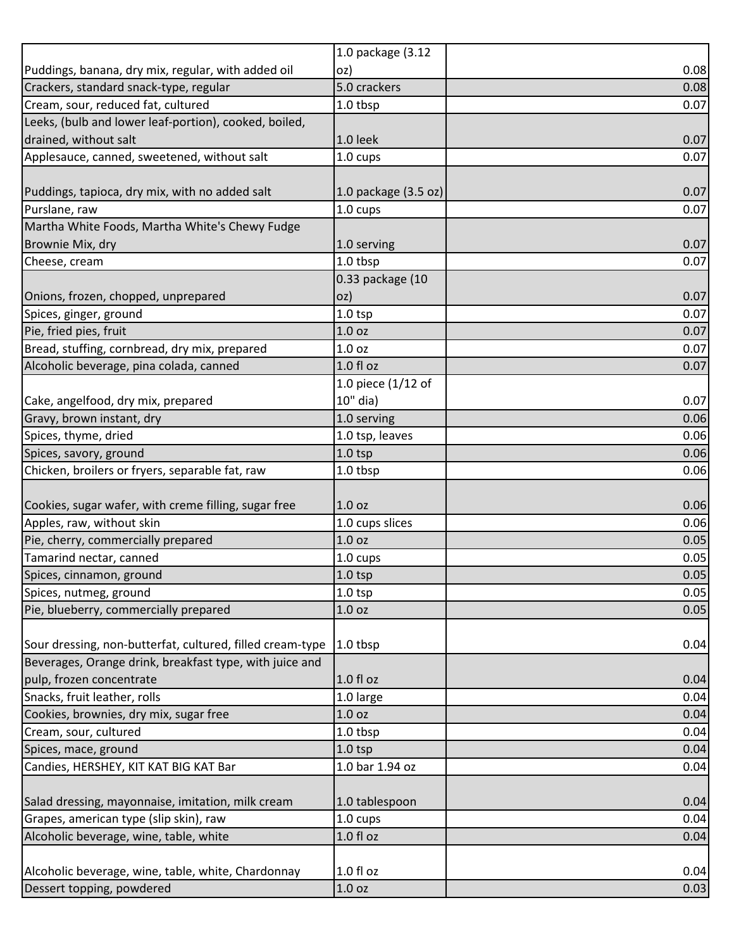|                                                           | 1.0 package (3.12                |              |
|-----------------------------------------------------------|----------------------------------|--------------|
| Puddings, banana, dry mix, regular, with added oil        | oz)                              | 0.08         |
| Crackers, standard snack-type, regular                    | 5.0 crackers                     | 0.08         |
| Cream, sour, reduced fat, cultured                        | 1.0 tbsp                         | 0.07         |
| Leeks, (bulb and lower leaf-portion), cooked, boiled,     |                                  |              |
| drained, without salt                                     | 1.0 leek                         | 0.07         |
| Applesauce, canned, sweetened, without salt               | 1.0 cups                         | 0.07         |
|                                                           |                                  |              |
| Puddings, tapioca, dry mix, with no added salt            | $1.0$ package $(3.5 \text{ oz})$ | 0.07         |
| Purslane, raw                                             | 1.0 cups                         | 0.07         |
| Martha White Foods, Martha White's Chewy Fudge            |                                  |              |
| Brownie Mix, dry                                          | 1.0 serving                      | 0.07         |
| Cheese, cream                                             | 1.0 tbsp                         | 0.07         |
|                                                           | 0.33 package (10                 |              |
| Onions, frozen, chopped, unprepared                       | oz)                              | 0.07         |
| Spices, ginger, ground                                    | $1.0$ tsp                        | 0.07         |
| Pie, fried pies, fruit                                    | 1.0 <sub>oz</sub>                | 0.07         |
| Bread, stuffing, cornbread, dry mix, prepared             | 1.0 <sub>oz</sub>                | 0.07         |
| Alcoholic beverage, pina colada, canned                   | 1.0 fl oz                        | 0.07         |
|                                                           | 1.0 piece $(1/12$ of             |              |
| Cake, angelfood, dry mix, prepared                        | 10" dia)<br>1.0 serving          | 0.07<br>0.06 |
| Gravy, brown instant, dry<br>Spices, thyme, dried         | 1.0 tsp, leaves                  | 0.06         |
| Spices, savory, ground                                    | $1.0$ tsp                        | 0.06         |
| Chicken, broilers or fryers, separable fat, raw           | 1.0 tbsp                         | 0.06         |
|                                                           |                                  |              |
| Cookies, sugar wafer, with creme filling, sugar free      | 1.0 <sub>oz</sub>                | 0.06         |
| Apples, raw, without skin                                 | 1.0 cups slices                  | 0.06         |
| Pie, cherry, commercially prepared                        | 1.0 <sub>oz</sub>                | 0.05         |
| Tamarind nectar, canned                                   | 1.0 cups                         | 0.05         |
| Spices, cinnamon, ground                                  | $1.0$ tsp                        | 0.05         |
| Spices, nutmeg, ground                                    | $1.0$ tsp                        | 0.05         |
| Pie, blueberry, commercially prepared                     | 1.0 <sub>oz</sub>                | 0.05         |
|                                                           |                                  |              |
| Sour dressing, non-butterfat, cultured, filled cream-type | $1.0$ tbsp                       | 0.04         |
| Beverages, Orange drink, breakfast type, with juice and   |                                  |              |
| pulp, frozen concentrate                                  | $1.0 f$ l oz                     | 0.04         |
| Snacks, fruit leather, rolls                              | 1.0 large                        | 0.04         |
| Cookies, brownies, dry mix, sugar free                    | 1.0 oz                           | 0.04         |
| Cream, sour, cultured                                     | 1.0 tbsp                         | 0.04         |
| Spices, mace, ground                                      | $1.0$ tsp                        | 0.04         |
| Candies, HERSHEY, KIT KAT BIG KAT Bar                     | 1.0 bar 1.94 oz                  | 0.04         |
|                                                           |                                  |              |
| Salad dressing, mayonnaise, imitation, milk cream         | 1.0 tablespoon                   | 0.04         |
| Grapes, american type (slip skin), raw                    | 1.0 cups                         | 0.04         |
| Alcoholic beverage, wine, table, white                    | 1.0 fl oz                        | 0.04         |
|                                                           |                                  |              |
| Alcoholic beverage, wine, table, white, Chardonnay        | 1.0 fl oz                        | 0.04         |
| Dessert topping, powdered                                 | 1.0 oz                           | 0.03         |